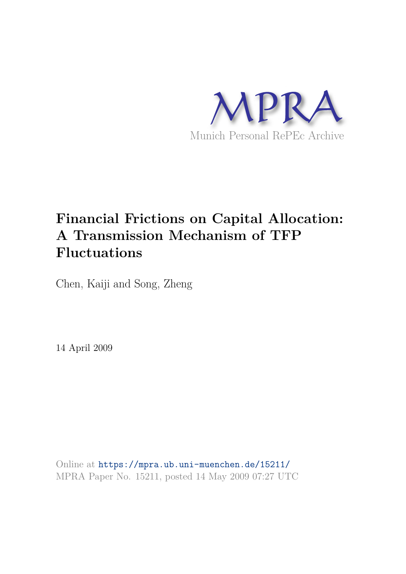

# **Financial Frictions on Capital Allocation: A Transmission Mechanism of TFP Fluctuations**

Chen, Kaiji and Song, Zheng

14 April 2009

Online at https://mpra.ub.uni-muenchen.de/15211/ MPRA Paper No. 15211, posted 14 May 2009 07:27 UTC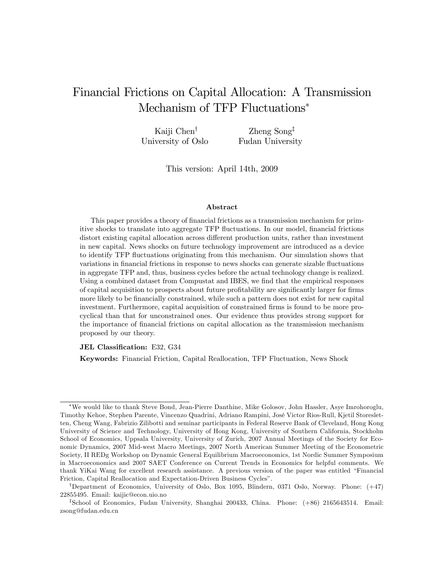## Financial Frictions on Capital Allocation: A Transmission Mechanism of TFP Fluctuations

Kaiji  $Chen^{\dagger}$ University of Oslo Zheng  $Song^{\ddagger}$ Fudan University

This version: April 14th, 2009

#### Abstract

This paper provides a theory of financial frictions as a transmission mechanism for primitive shocks to translate into aggregate TFP fluctuations. In our model, financial frictions distort existing capital allocation across different production units, rather than investment in new capital. News shocks on future technology improvement are introduced as a device to identify TFP áuctuations originating from this mechanism. Our simulation shows that variations in financial frictions in response to news shocks can generate sizable fluctuations in aggregate TFP and, thus, business cycles before the actual technology change is realized. Using a combined dataset from Compustat and IBES, we find that the empirical responses of capital acquisition to prospects about future profitability are significantly larger for firms more likely to be financially constrained, while such a pattern does not exist for new capital investment. Furthermore, capital acquisition of constrained firms is found to be more procyclical than that for unconstrained ones. Our evidence thus provides strong support for the importance of financial frictions on capital allocation as the transmission mechanism proposed by our theory.

JEL Classification: E32, G34

Keywords: Financial Friction, Capital Reallocation, TFP Fluctuation, News Shock

We would like to thank Steve Bond, Jean-Pierre Danthine, Mike Golosov, John Hassler, Asye Imrohoroglu, Timothy Kehoe, Stephen Parente, Vincenzo Quadrini, Adriano Rampini, JosÈ Victor Rios-Rull, Kjetil Storesletten, Cheng Wang, Fabrizio Zilibotti and seminar participants in Federal Reserve Bank of Cleveland, Hong Kong University of Science and Technology, University of Hong Kong, University of Southern California, Stockholm School of Economics, Uppsala University, University of Zurich, 2007 Annual Meetings of the Society for Economic Dynamics, 2007 Mid-west Macro Meetings, 2007 North American Summer Meeting of the Econometric Society, II REDg Workshop on Dynamic General Equilibrium Macroeconomics, 1st Nordic Summer Symposium in Macroeconomics and 2007 SAET Conference on Current Trends in Economics for helpful comments. We thank YiKai Wang for excellent research assistance. A previous version of the paper was entitled "Financial" Friction, Capital Reallocation and Expectation-Driven Business Cycles".

<sup>&</sup>lt;sup>†</sup>Department of Economics, University of Oslo, Box 1095, Blindern, 0371 Oslo, Norway. Phone:  $(+47)$ 22855495. Email: kaijic@econ.uio.no

z School of Economics, Fudan University, Shanghai 200433, China. Phone: (+86) 2165643514. Email: zsong@fudan.edu.cn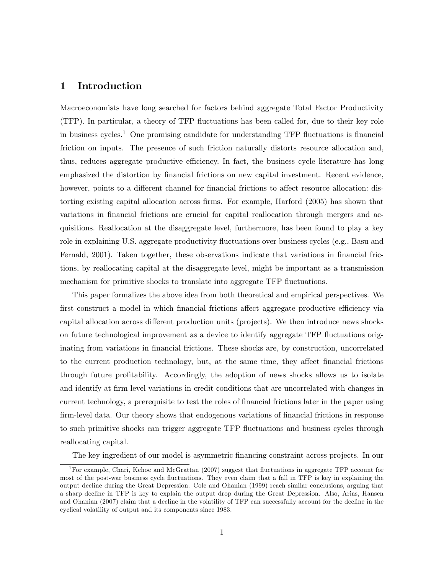## 1 Introduction

Macroeconomists have long searched for factors behind aggregate Total Factor Productivity (TFP). In particular, a theory of TFP áuctuations has been called for, due to their key role in business cycles.<sup>1</sup> One promising candidate for understanding TFP fluctuations is financial friction on inputs. The presence of such friction naturally distorts resource allocation and, thus, reduces aggregate productive efficiency. In fact, the business cycle literature has long emphasized the distortion by financial frictions on new capital investment. Recent evidence, however, points to a different channel for financial frictions to affect resource allocation: distorting existing capital allocation across Örms. For example, Harford (2005) has shown that variations in financial frictions are crucial for capital reallocation through mergers and acquisitions. Reallocation at the disaggregate level, furthermore, has been found to play a key role in explaining U.S. aggregate productivity fluctuations over business cycles (e.g., Basu and Fernald, 2001). Taken together, these observations indicate that variations in financial frictions, by reallocating capital at the disaggregate level, might be important as a transmission mechanism for primitive shocks to translate into aggregate TFP fluctuations.

This paper formalizes the above idea from both theoretical and empirical perspectives. We first construct a model in which financial frictions affect aggregate productive efficiency via capital allocation across different production units (projects). We then introduce news shocks on future technological improvement as a device to identify aggregate TFP fluctuations originating from variations in financial frictions. These shocks are, by construction, uncorrelated to the current production technology, but, at the same time, they affect financial frictions through future profitability. Accordingly, the adoption of news shocks allows us to isolate and identify at firm level variations in credit conditions that are uncorrelated with changes in current technology, a prerequisite to test the roles of financial frictions later in the paper using firm-level data. Our theory shows that endogenous variations of financial frictions in response to such primitive shocks can trigger aggregate TFP fluctuations and business cycles through reallocating capital.

The key ingredient of our model is asymmetric Önancing constraint across projects. In our

<sup>&</sup>lt;sup>1</sup>For example, Chari, Kehoe and McGrattan (2007) suggest that fluctuations in aggregate TFP account for most of the post-war business cycle fluctuations. They even claim that a fall in TFP is key in explaining the output decline during the Great Depression. Cole and Ohanian (1999) reach similar conclusions, arguing that a sharp decline in TFP is key to explain the output drop during the Great Depression. Also, Arias, Hansen and Ohanian (2007) claim that a decline in the volatility of TFP can successfully account for the decline in the cyclical volatility of output and its components since 1983.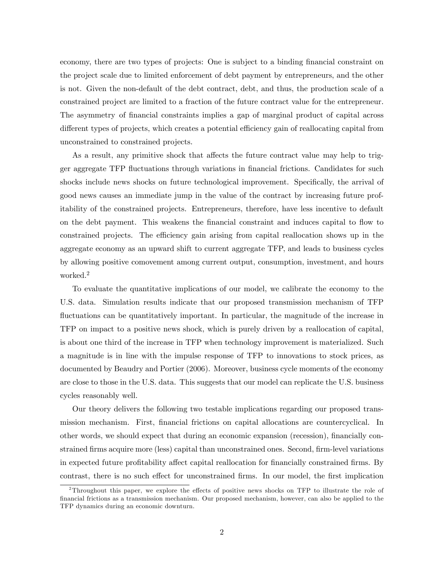economy, there are two types of projects: One is subject to a binding financial constraint on the project scale due to limited enforcement of debt payment by entrepreneurs, and the other is not. Given the non-default of the debt contract, debt, and thus, the production scale of a constrained project are limited to a fraction of the future contract value for the entrepreneur. The asymmetry of financial constraints implies a gap of marginal product of capital across different types of projects, which creates a potential efficiency gain of reallocating capital from unconstrained to constrained projects.

As a result, any primitive shock that affects the future contract value may help to trigger aggregate TFP fluctuations through variations in financial frictions. Candidates for such shocks include news shocks on future technological improvement. Specifically, the arrival of good news causes an immediate jump in the value of the contract by increasing future profitability of the constrained projects. Entrepreneurs, therefore, have less incentive to default on the debt payment. This weakens the Önancial constraint and induces capital to áow to constrained projects. The efficiency gain arising from capital reallocation shows up in the aggregate economy as an upward shift to current aggregate TFP, and leads to business cycles by allowing positive comovement among current output, consumption, investment, and hours worked.<sup>2</sup>

To evaluate the quantitative implications of our model, we calibrate the economy to the U.S. data. Simulation results indicate that our proposed transmission mechanism of TFP fluctuations can be quantitatively important. In particular, the magnitude of the increase in TFP on impact to a positive news shock, which is purely driven by a reallocation of capital, is about one third of the increase in TFP when technology improvement is materialized. Such a magnitude is in line with the impulse response of TFP to innovations to stock prices, as documented by Beaudry and Portier (2006). Moreover, business cycle moments of the economy are close to those in the U.S. data. This suggests that our model can replicate the U.S. business cycles reasonably well.

Our theory delivers the following two testable implications regarding our proposed transmission mechanism. First, financial frictions on capital allocations are countercyclical. In other words, we should expect that during an economic expansion (recession), financially constrained firms acquire more (less) capital than unconstrained ones. Second, firm-level variations in expected future profitability affect capital reallocation for financially constrained firms. By contrast, there is no such effect for unconstrained firms. In our model, the first implication

<sup>&</sup>lt;sup>2</sup>Throughout this paper, we explore the effects of positive news shocks on TFP to illustrate the role of financial frictions as a transmission mechanism. Our proposed mechanism, however, can also be applied to the TFP dynamics during an economic downturn.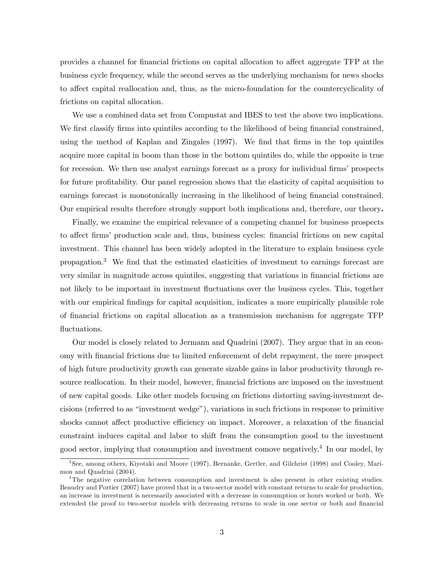provides a channel for financial frictions on capital allocation to affect aggregate TFP at the business cycle frequency, while the second serves as the underlying mechanism for news shocks to affect capital reallocation and, thus, as the micro-foundation for the countercyclicality of frictions on capital allocation.

We use a combined data set from Compustat and IBES to test the above two implications. We first classify firms into quintiles according to the likelihood of being financial constrained, using the method of Kaplan and Zingales (1997). We find that firms in the top quintiles acquire more capital in boom than those in the bottom quintiles do, while the opposite is true for recession. We then use analyst earnings forecast as a proxy for individual firms' prospects for future profitability. Our panel regression shows that the elasticity of capital acquisition to earnings forecast is monotonically increasing in the likelihood of being financial constrained. Our empirical results therefore strongly support both implications and, therefore, our theory.

Finally, we examine the empirical relevance of a competing channel for business prospects to affect firms' production scale and, thus, business cycles: financial frictions on new capital investment. This channel has been widely adopted in the literature to explain business cycle propagation.<sup>3</sup> We find that the estimated elasticities of investment to earnings forecast are very similar in magnitude across quintiles, suggesting that variations in financial frictions are not likely to be important in investment áuctuations over the business cycles. This, together with our empirical findings for capital acquisition, indicates a more empirically plausible role of Önancial frictions on capital allocation as a transmission mechanism for aggregate TFP fluctuations.

Our model is closely related to Jermann and Quadrini (2007). They argue that in an economy with Önancial frictions due to limited enforcement of debt repayment, the mere prospect of high future productivity growth can generate sizable gains in labor productivity through resource reallocation. In their model, however, financial frictions are imposed on the investment of new capital goods. Like other models focusing on frictions distorting saving-investment decisions (referred to as "investment wedge"), variations in such frictions in response to primitive shocks cannot affect productive efficiency on impact. Moreover, a relaxation of the financial constraint induces capital and labor to shift from the consumption good to the investment good sector, implying that consumption and investment comove negatively.<sup>4</sup> In our model, by

<sup>3</sup> See, among others, Kiyotaki and Moore (1997), Bernanke, Gertler, and Gilchrist (1998) and Cooley, Marimon and Quadrini (2004).

<sup>&</sup>lt;sup>4</sup>The negative correlation between consumption and investment is also present in other existing studies. Beaudry and Portier (2007) have proved that in a two-sector model with constant returns to scale for production, an increase in investment is necessarily associated with a decrease in consumption or hours worked or both. We extended the proof to two-sector models with decreasing returns to scale in one sector or both and financial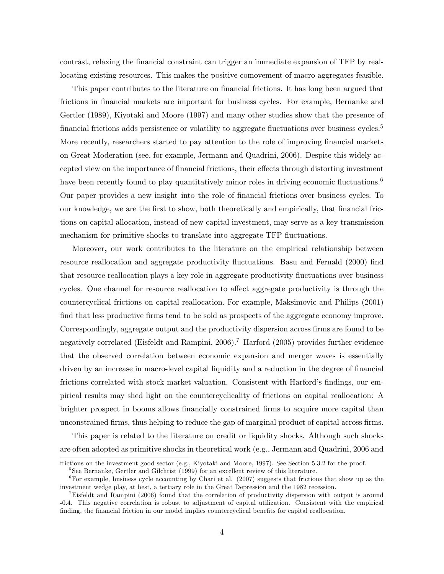contrast, relaxing the Önancial constraint can trigger an immediate expansion of TFP by reallocating existing resources. This makes the positive comovement of macro aggregates feasible.

This paper contributes to the literature on financial frictions. It has long been argued that frictions in financial markets are important for business cycles. For example, Bernanke and Gertler (1989), Kiyotaki and Moore (1997) and many other studies show that the presence of financial frictions adds persistence or volatility to aggregate fluctuations over business cycles.<sup>5</sup> More recently, researchers started to pay attention to the role of improving financial markets on Great Moderation (see, for example, Jermann and Quadrini, 2006). Despite this widely accepted view on the importance of financial frictions, their effects through distorting investment have been recently found to play quantitatively minor roles in driving economic fluctuations.<sup>6</sup> Our paper provides a new insight into the role of financial frictions over business cycles. To our knowledge, we are the first to show, both theoretically and empirically, that financial frictions on capital allocation, instead of new capital investment, may serve as a key transmission mechanism for primitive shocks to translate into aggregate TFP fluctuations.

Moreover, our work contributes to the literature on the empirical relationship between resource reallocation and aggregate productivity fluctuations. Basu and Fernald (2000) find that resource reallocation plays a key role in aggregate productivity fluctuations over business cycles. One channel for resource reallocation to affect aggregate productivity is through the countercyclical frictions on capital reallocation. For example, Maksimovic and Philips (2001) find that less productive firms tend to be sold as prospects of the aggregate economy improve. Correspondingly, aggregate output and the productivity dispersion across firms are found to be negatively correlated (Eisfeldt and Rampini, 2006).<sup>7</sup> Harford (2005) provides further evidence that the observed correlation between economic expansion and merger waves is essentially driven by an increase in macro-level capital liquidity and a reduction in the degree of financial frictions correlated with stock market valuation. Consistent with Harford's findings, our empirical results may shed light on the countercyclicality of frictions on capital reallocation: A brighter prospect in booms allows financially constrained firms to acquire more capital than unconstrained firms, thus helping to reduce the gap of marginal product of capital across firms.

This paper is related to the literature on credit or liquidity shocks. Although such shocks are often adopted as primitive shocks in theoretical work (e.g., Jermann and Quadrini, 2006 and

frictions on the investment good sector (e.g., Kiyotaki and Moore, 1997). See Section 5.3.2 for the proof.

<sup>&</sup>lt;sup>5</sup>See Bernanke, Gertler and Gilchrist (1999) for an excellent review of this literature.

 $6$ For example, business cycle accounting by Chari et al. (2007) suggests that frictions that show up as the investment wedge play, at best, a tertiary role in the Great Depression and the 1982 recession.

<sup>7</sup>Eisfeldt and Rampini (2006) found that the correlation of productivity dispersion with output is around -0.4. This negative correlation is robust to adjustment of capital utilization. Consistent with the empirical finding, the financial friction in our model implies countercyclical benefits for capital reallocation.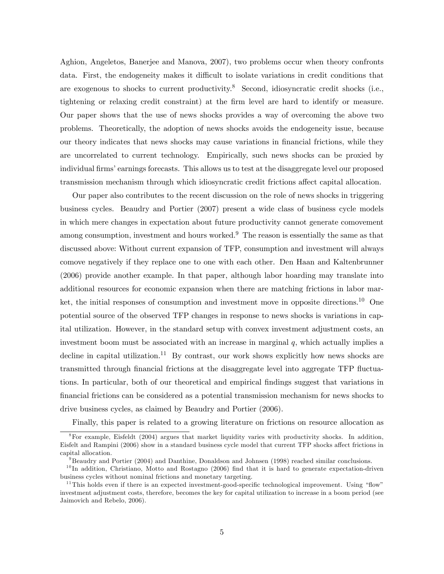Aghion, Angeletos, Banerjee and Manova, 2007), two problems occur when theory confronts data. First, the endogeneity makes it difficult to isolate variations in credit conditions that are exogenous to shocks to current productivity.<sup>8</sup> Second, idiosyncratic credit shocks (i.e., tightening or relaxing credit constraint) at the Örm level are hard to identify or measure. Our paper shows that the use of news shocks provides a way of overcoming the above two problems. Theoretically, the adoption of news shocks avoids the endogeneity issue, because our theory indicates that news shocks may cause variations in Önancial frictions, while they are uncorrelated to current technology. Empirically, such news shocks can be proxied by individual firms' earnings forecasts. This allows us to test at the disaggregate level our proposed transmission mechanism through which idiosyncratic credit frictions affect capital allocation.

Our paper also contributes to the recent discussion on the role of news shocks in triggering business cycles. Beaudry and Portier (2007) present a wide class of business cycle models in which mere changes in expectation about future productivity cannot generate comovement among consumption, investment and hours worked.<sup>9</sup> The reason is essentially the same as that discussed above: Without current expansion of TFP, consumption and investment will always comove negatively if they replace one to one with each other. Den Haan and Kaltenbrunner (2006) provide another example. In that paper, although labor hoarding may translate into additional resources for economic expansion when there are matching frictions in labor market, the initial responses of consumption and investment move in opposite directions.<sup>10</sup> One potential source of the observed TFP changes in response to news shocks is variations in capital utilization. However, in the standard setup with convex investment adjustment costs, an investment boom must be associated with an increase in marginal  $q$ , which actually implies a decline in capital utilization.<sup>11</sup> By contrast, our work shows explicitly how news shocks are transmitted through financial frictions at the disaggregate level into aggregate TFP fluctuations. In particular, both of our theoretical and empirical Öndings suggest that variations in Önancial frictions can be considered as a potential transmission mechanism for news shocks to drive business cycles, as claimed by Beaudry and Portier (2006).

Finally, this paper is related to a growing literature on frictions on resource allocation as

<sup>8</sup>For example, Eisfeldt (2004) argues that market liquidity varies with productivity shocks. In addition, Eisfelt and Rampini (2006) show in a standard business cycle model that current TFP shocks affect frictions in capital allocation.

 $9B$ eaudry and Portier (2004) and Danthine, Donaldson and Johnsen (1998) reached similar conclusions.

 $10$  In addition, Christiano, Motto and Rostagno (2006) find that it is hard to generate expectation-driven business cycles without nominal frictions and monetary targeting.

<sup>&</sup>lt;sup>11</sup>This holds even if there is an expected investment-good-specific technological improvement. Using "flow" investment adjustment costs, therefore, becomes the key for capital utilization to increase in a boom period (see Jaimovich and Rebelo, 2006).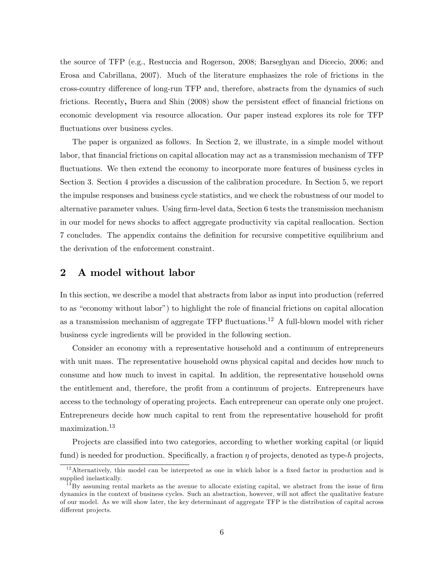the source of TFP (e.g., Restuccia and Rogerson, 2008; Barseghyan and Dicecio, 2006; and Erosa and Cabrillana, 2007). Much of the literature emphasizes the role of frictions in the cross-country difference of long-run TFP and, therefore, abstracts from the dynamics of such frictions. Recently, Buera and Shin (2008) show the persistent effect of financial frictions on economic development via resource allocation. Our paper instead explores its role for TFP fluctuations over business cycles.

The paper is organized as follows. In Section 2, we illustrate, in a simple model without labor, that financial frictions on capital allocation may act as a transmission mechanism of TFP fluctuations. We then extend the economy to incorporate more features of business cycles in Section 3. Section 4 provides a discussion of the calibration procedure. In Section 5, we report the impulse responses and business cycle statistics, and we check the robustness of our model to alternative parameter values. Using firm-level data, Section 6 tests the transmission mechanism in our model for news shocks to affect aggregate productivity via capital reallocation. Section 7 concludes. The appendix contains the deÖnition for recursive competitive equilibrium and the derivation of the enforcement constraint.

## 2 A model without labor

In this section, we describe a model that abstracts from labor as input into production (referred to as "economy without labor") to highlight the role of financial frictions on capital allocation as a transmission mechanism of aggregate TFP fluctuations.<sup>12</sup> A full-blown model with richer business cycle ingredients will be provided in the following section.

Consider an economy with a representative household and a continuum of entrepreneurs with unit mass. The representative household owns physical capital and decides how much to consume and how much to invest in capital. In addition, the representative household owns the entitlement and, therefore, the profit from a continuum of projects. Entrepreneurs have access to the technology of operating projects. Each entrepreneur can operate only one project. Entrepreneurs decide how much capital to rent from the representative household for profit maximization.<sup>13</sup>

Projects are classified into two categories, according to whether working capital (or liquid fund) is needed for production. Specifically, a fraction  $\eta$  of projects, denoted as type-h projects,

 $12$ Alternatively, this model can be interpreted as one in which labor is a fixed factor in production and is supplied inelastically.

 $13\,\text{By}$  assuming rental markets as the avenue to allocate existing capital, we abstract from the issue of firm dynamics in the context of business cycles. Such an abstraction, however, will not affect the qualitative feature of our model. As we will show later, the key determinant of aggregate TFP is the distribution of capital across different projects.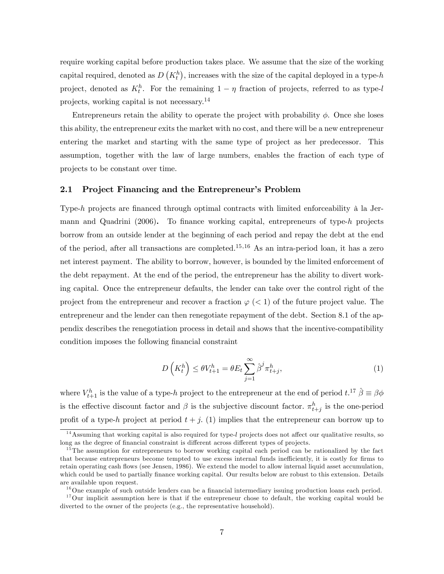require working capital before production takes place. We assume that the size of the working capital required, denoted as  $D(K_t^h)$ , increases with the size of the capital deployed in a type-h project, denoted as  $K_t^h$ . For the remaining  $1 - \eta$  fraction of projects, referred to as type-l projects, working capital is not necessary.<sup>14</sup>

Entrepreneurs retain the ability to operate the project with probability  $\phi$ . Once she loses this ability, the entrepreneur exits the market with no cost, and there will be a new entrepreneur entering the market and starting with the same type of project as her predecessor. This assumption, together with the law of large numbers, enables the fraction of each type of projects to be constant over time.

#### 2.1 Project Financing and the Entrepreneur's Problem

Type-h projects are financed through optimal contracts with limited enforceability  $\hat{a}$  la Jermann and Quadrini  $(2006)$ . To finance working capital, entrepreneurs of type-h projects borrow from an outside lender at the beginning of each period and repay the debt at the end of the period, after all transactions are completed.<sup>15,16</sup> As an intra-period loan, it has a zero net interest payment. The ability to borrow, however, is bounded by the limited enforcement of the debt repayment. At the end of the period, the entrepreneur has the ability to divert working capital. Once the entrepreneur defaults, the lender can take over the control right of the project from the entrepreneur and recover a fraction  $\varphi$  (< 1) of the future project value. The entrepreneur and the lender can then renegotiate repayment of the debt. Section 8.1 of the appendix describes the renegotiation process in detail and shows that the incentive-compatibility condition imposes the following financial constraint

$$
D\left(K_t^h\right) \le \theta V_{t+1}^h = \theta E_t \sum_{j=1}^\infty \hat{\beta}^j \pi_{t+j}^h,\tag{1}
$$

where  $V_{t+1}^h$  is the value of a type-h project to the entrepreneur at the end of period  $t$ .<sup>17</sup>  $\hat{\beta} \equiv \beta \phi$ is the effective discount factor and  $\beta$  is the subjective discount factor.  $\pi_{t+j}^h$  is the one-period profit of a type-h project at period  $t + j$ . (1) implies that the entrepreneur can borrow up to

 $14$ Assuming that working capital is also required for type-l projects does not affect our qualitative results, so long as the degree of financial constraint is different across different types of projects.

<sup>&</sup>lt;sup>15</sup>The assumption for entrepreneurs to borrow working capital each period can be rationalized by the fact that because entrepreneurs become tempted to use excess internal funds inefficiently, it is costly for firms to retain operating cash flows (see Jensen, 1986). We extend the model to allow internal liquid asset accumulation, which could be used to partially finance working capital. Our results below are robust to this extension. Details are available upon request.

 $16$ One example of such outside lenders can be a financial intermediary issuing production loans each period.

 $17$ Our implicit assumption here is that if the entrepreneur chose to default, the working capital would be diverted to the owner of the projects (e.g., the representative household).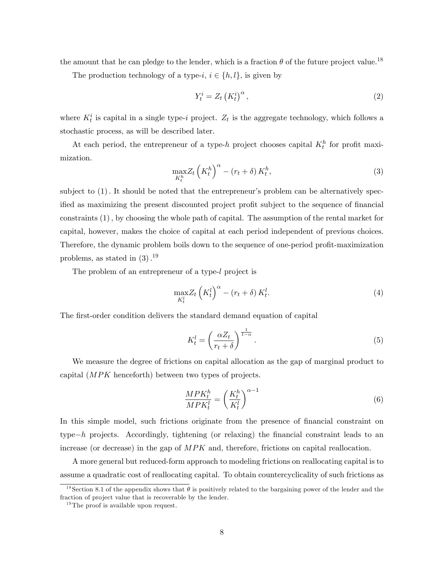the amount that he can pledge to the lender, which is a fraction  $\theta$  of the future project value.<sup>18</sup>

The production technology of a type-i,  $i \in \{h, l\}$ , is given by

$$
Y_t^i = Z_t \left( K_t^i \right)^{\alpha},\tag{2}
$$

where  $K_t^i$  is capital in a single type-i project.  $Z_t$  is the aggregate technology, which follows a stochastic process, as will be described later.

At each period, the entrepreneur of a type-h project chooses capital  $K_t^h$  for profit maximization.

$$
\max_{K_t^h} Z_t \left( K_t^h \right)^{\alpha} - \left( r_t + \delta \right) K_t^h,\tag{3}
$$

subject to  $(1)$ . It should be noted that the entrepreneur's problem can be alternatively specified as maximizing the present discounted project profit subject to the sequence of financial constraints  $(1)$ , by choosing the whole path of capital. The assumption of the rental market for capital, however, makes the choice of capital at each period independent of previous choices. Therefore, the dynamic problem boils down to the sequence of one-period profit-maximization problems, as stated in  $(3).^{19}$ 

The problem of an entrepreneur of a type-l project is

$$
\max_{K_t^l} Z_t \left( K_t^l \right)^{\alpha} - \left( r_t + \delta \right) K_t^l. \tag{4}
$$

The first-order condition delivers the standard demand equation of capital

$$
K_t^l = \left(\frac{\alpha Z_t}{r_t + \delta}\right)^{\frac{1}{1-\alpha}}.\tag{5}
$$

We measure the degree of frictions on capital allocation as the gap of marginal product to capital (MPK henceforth) between two types of projects.

$$
\frac{MPK_t^h}{MPK_t^l} = \left(\frac{K_t^h}{K_t^l}\right)^{\alpha - 1} \tag{6}
$$

In this simple model, such frictions originate from the presence of financial constraint on  $type-h$  projects. Accordingly, tightening (or relaxing) the financial constraint leads to an increase (or decrease) in the gap of MPK and, therefore, frictions on capital reallocation.

A more general but reduced-form approach to modeling frictions on reallocating capital is to assume a quadratic cost of reallocating capital. To obtain countercyclicality of such frictions as

<sup>&</sup>lt;sup>18</sup> Section 8.1 of the appendix shows that  $\theta$  is positively related to the bargaining power of the lender and the fraction of project value that is recoverable by the lender.

 $19$ The proof is available upon request.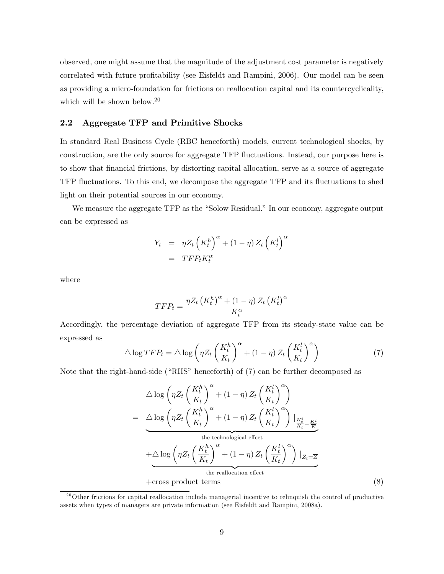observed, one might assume that the magnitude of the adjustment cost parameter is negatively correlated with future profitability (see Eisfeldt and Rampini, 2006). Our model can be seen as providing a micro-foundation for frictions on reallocation capital and its countercyclicality, which will be shown below.<sup>20</sup>

#### 2.2 Aggregate TFP and Primitive Shocks

In standard Real Business Cycle (RBC henceforth) models, current technological shocks, by construction, are the only source for aggregate TFP áuctuations. Instead, our purpose here is to show that Önancial frictions, by distorting capital allocation, serve as a source of aggregate TFP áuctuations. To this end, we decompose the aggregate TFP and its áuctuations to shed light on their potential sources in our economy.

We measure the aggregate TFP as the "Solow Residual." In our economy, aggregate output can be expressed as

$$
Y_t = \eta Z_t \left( K_t^h \right)^{\alpha} + (1 - \eta) Z_t \left( K_t^l \right)^{\alpha}
$$

$$
= TFP_t K_t^{\alpha}
$$

where

$$
TFP_t = \frac{\eta Z_t \left(K_t^h\right)^{\alpha} + (1 - \eta) Z_t \left(K_t^l\right)^{\alpha}}{K_t^{\alpha}}
$$

Accordingly, the percentage deviation of aggregate TFP from its steady-state value can be expressed as

$$
\triangle \log TFP_t = \triangle \log \left( \eta Z_t \left( \frac{K_t^h}{K_t} \right)^{\alpha} + (1 - \eta) Z_t \left( \frac{K_t^l}{K_t} \right)^{\alpha} \right) \tag{7}
$$

Note that the right-hand-side ("RHS" henceforth) of  $(7)$  can be further decomposed as

$$
\triangle \log \left( \eta Z_t \left( \frac{K_t^h}{K_t} \right)^{\alpha} + (1 - \eta) Z_t \left( \frac{K_t^l}{K_t} \right)^{\alpha} \right)
$$
\n
$$
= \triangle \log \left( \eta Z_t \left( \frac{K_t^h}{K_t} \right)^{\alpha} + (1 - \eta) Z_t \left( \frac{K_t^l}{K_t} \right)^{\alpha} \right) \Big|_{\frac{K_t^i}{K_t} = \frac{\overline{K^i}}{\overline{K}}} \text{the technological effect}
$$
\n
$$
+ \triangle \log \left( \eta Z_t \left( \frac{K_t^h}{K_t} \right)^{\alpha} + (1 - \eta) Z_t \left( \frac{K_t^l}{K_t} \right)^{\alpha} \right) \Big|_{Z_t = \overline{Z}}
$$
\nthe reallocation effect\n+  
cross product terms (8)

 $20$ Other frictions for capital reallocation include managerial incentive to relinquish the control of productive assets when types of managers are private information (see Eisfeldt and Rampini, 2008a).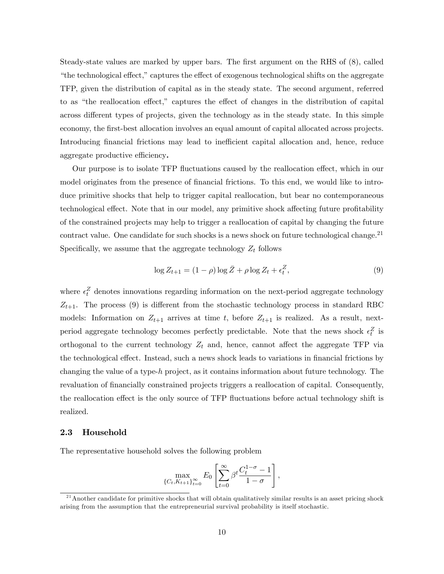Steady-state values are marked by upper bars. The first argument on the RHS of  $(8)$ , called "the technological effect," captures the effect of exogenous technological shifts on the aggregate TFP, given the distribution of capital as in the steady state. The second argument, referred to as "the reallocation effect," captures the effect of changes in the distribution of capital across different types of projects, given the technology as in the steady state. In this simple economy, the first-best allocation involves an equal amount of capital allocated across projects. Introducing financial frictions may lead to inefficient capital allocation and, hence, reduce aggregate productive efficiency.

Our purpose is to isolate TFP fluctuations caused by the reallocation effect, which in our model originates from the presence of financial frictions. To this end, we would like to introduce primitive shocks that help to trigger capital reallocation, but bear no contemporaneous technological effect. Note that in our model, any primitive shock affecting future profitability of the constrained projects may help to trigger a reallocation of capital by changing the future contract value. One candidate for such shocks is a news shock on future technological change.<sup>21</sup> Specifically, we assume that the aggregate technology  $Z_t$  follows

$$
\log Z_{t+1} = (1 - \rho) \log \bar{Z} + \rho \log Z_t + \epsilon_t^Z,\tag{9}
$$

where  $\epsilon_t^Z$  denotes innovations regarding information on the next-period aggregate technology  $Z_{t+1}$ . The process (9) is different from the stochastic technology process in standard RBC models: Information on  $Z_{t+1}$  arrives at time t, before  $Z_{t+1}$  is realized. As a result, nextperiod aggregate technology becomes perfectly predictable. Note that the news shock  $\epsilon_t^Z$  is orthogonal to the current technology  $Z_t$  and, hence, cannot affect the aggregate TFP via the technological effect. Instead, such a news shock leads to variations in financial frictions by changing the value of a type-h project, as it contains information about future technology. The revaluation of financially constrained projects triggers a reallocation of capital. Consequently, the reallocation effect is the only source of TFP fluctuations before actual technology shift is realized.

#### 2.3 Household

The representative household solves the following problem

$$
\max_{\{C_t, K_{t+1}\}_{t=0}^{\infty}} E_0 \left[ \sum_{t=0}^{\infty} \beta^t \frac{C_t^{1-\sigma} - 1}{1-\sigma} \right],
$$

 $21$ Another candidate for primitive shocks that will obtain qualitatively similar results is an asset pricing shock arising from the assumption that the entrepreneurial survival probability is itself stochastic.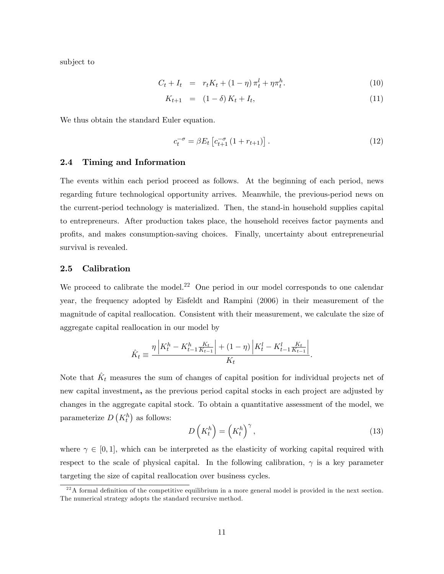subject to

$$
C_t + I_t = r_t K_t + (1 - \eta) \pi_t^l + \eta \pi_t^h. \tag{10}
$$

$$
K_{t+1} = (1 - \delta) K_t + I_t, \tag{11}
$$

We thus obtain the standard Euler equation.

$$
c_t^{-\sigma} = \beta E_t \left[ c_{t+1}^{-\sigma} \left( 1 + r_{t+1} \right) \right]. \tag{12}
$$

#### 2.4 Timing and Information

The events within each period proceed as follows. At the beginning of each period, news regarding future technological opportunity arrives. Meanwhile, the previous-period news on the current-period technology is materialized. Then, the stand-in household supplies capital to entrepreneurs. After production takes place, the household receives factor payments and profits, and makes consumption-saving choices. Finally, uncertainty about entrepreneurial survival is revealed.

#### 2.5 Calibration

We proceed to calibrate the model.<sup>22</sup> One period in our model corresponds to one calendar year, the frequency adopted by Eisfeldt and Rampini (2006) in their measurement of the magnitude of capital reallocation. Consistent with their measurement, we calculate the size of aggregate capital reallocation in our model by

$$
\hat{K}_t \equiv \frac{\eta \left| K_t^h - K_{t-1}^h \frac{K_t}{K_{t-1}} \right| + (1 - \eta) \left| K_t^l - K_{t-1}^l \frac{K_t}{K_{t-1}} \right|}{K_t}.
$$

Note that  $\hat{K}_t$  measures the sum of changes of capital position for individual projects net of new capital investment, as the previous period capital stocks in each project are adjusted by changes in the aggregate capital stock. To obtain a quantitative assessment of the model, we parameterize  $D(K_t^h)$  as follows:

$$
D\left(K_t^h\right) = \left(K_t^h\right)^\gamma,\tag{13}
$$

where  $\gamma \in [0, 1]$ , which can be interpreted as the elasticity of working capital required with respect to the scale of physical capital. In the following calibration,  $\gamma$  is a key parameter targeting the size of capital reallocation over business cycles.

 $^{22}$ A formal definition of the competitive equilibrium in a more general model is provided in the next section. The numerical strategy adopts the standard recursive method.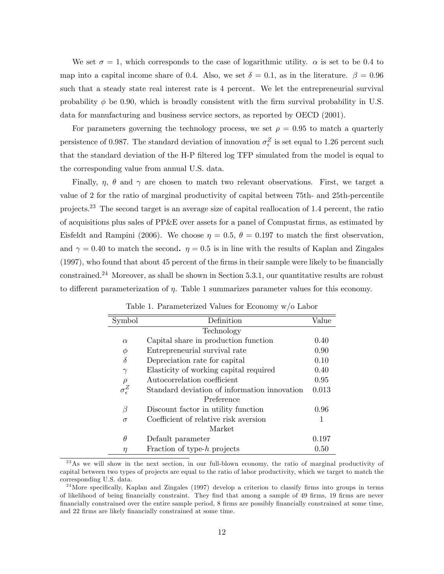We set  $\sigma = 1$ , which corresponds to the case of logarithmic utility.  $\alpha$  is set to be 0.4 to map into a capital income share of 0.4. Also, we set  $\delta = 0.1$ , as in the literature.  $\beta = 0.96$ such that a steady state real interest rate is 4 percent. We let the entrepreneurial survival probability  $\phi$  be 0.90, which is broadly consistent with the firm survival probability in U.S. data for manufacturing and business service sectors, as reported by OECD (2001).

For parameters governing the technology process, we set  $\rho = 0.95$  to match a quarterly persistence of 0.987. The standard deviation of innovation  $\sigma_{\epsilon}^Z$  is set equal to 1.26 percent such that the standard deviation of the H-P filtered log TFP simulated from the model is equal to the corresponding value from annual U.S. data.

Finally,  $\eta$ ,  $\theta$  and  $\gamma$  are chosen to match two relevant observations. First, we target a value of 2 for the ratio of marginal productivity of capital between 75th- and 25th-percentile projects.<sup>23</sup> The second target is an average size of capital reallocation of 1:4 percent, the ratio of acquisitions plus sales of  $PP\&E$  over assets for a panel of Compustat firms, as estimated by Eisfeldt and Rampini (2006). We choose  $\eta = 0.5$ ,  $\theta = 0.197$  to match the first observation, and  $\gamma = 0.40$  to match the second.  $\eta = 0.5$  is in line with the results of Kaplan and Zingales  $(1997)$ , who found that about 45 percent of the firms in their sample were likely to be financially constrained.<sup>24</sup> Moreover, as shall be shown in Section 5.3.1, our quantitative results are robust to different parameterization of  $\eta$ . Table 1 summarizes parameter values for this economy.

| Symbol                  | Definition                                   | Value |
|-------------------------|----------------------------------------------|-------|
|                         | Technology                                   |       |
| $\alpha$                | Capital share in production function         | 0.40  |
| Φ                       | Entrepreneurial survival rate                | 0.90  |
| $\delta$                | Depreciation rate for capital                | 0.10  |
| $\gamma$                | Elasticity of working capital required       | 0.40  |
| $\rho$                  | Autocorrelation coefficient                  | 0.95  |
| $\sigma_{\epsilon}^{Z}$ | Standard deviation of information innovation | 0.013 |
|                         | Preference                                   |       |
| β                       | Discount factor in utility function          | 0.96  |
| $\sigma$                | Coefficient of relative risk aversion        | 1     |
|                         | Market                                       |       |
| $\theta$                | Default parameter                            | 0.197 |
| η                       | Fraction of type- $h$ projects               | 0.50  |

Table 1. Parameterized Values for Economy w/o Labor

 $^{23}$ As we will show in the next section, in our full-blown economy, the ratio of marginal productivity of capital between two types of projects are equal to the ratio of labor productivity, which we target to match the corresponding U.S. data.

<sup>&</sup>lt;sup>24</sup> More specifically, Kaplan and Zingales (1997) develop a criterion to classify firms into groups in terms of likelihood of being financially constraint. They find that among a sample of 49 firms, 19 firms are never Önancially constrained over the entire sample period, 8 Örms are possibly Önancially constrained at some time, and 22 firms are likely financially constrained at some time.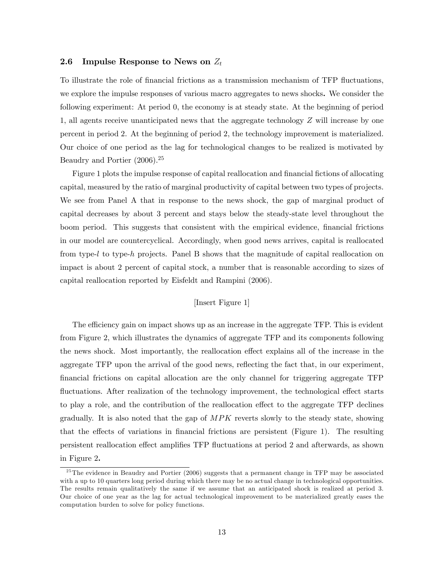#### 2.6 Impulse Response to News on  $Z_t$

To illustrate the role of financial frictions as a transmission mechanism of TFP fluctuations, we explore the impulse responses of various macro aggregates to news shocks. We consider the following experiment: At period 0, the economy is at steady state. At the beginning of period 1, all agents receive unanticipated news that the aggregate technology Z will increase by one percent in period 2. At the beginning of period 2, the technology improvement is materialized. Our choice of one period as the lag for technological changes to be realized is motivated by Beaudry and Portier (2006).<sup>25</sup>

Figure 1 plots the impulse response of capital reallocation and financial fictions of allocating capital, measured by the ratio of marginal productivity of capital between two types of projects. We see from Panel A that in response to the news shock, the gap of marginal product of capital decreases by about 3 percent and stays below the steady-state level throughout the boom period. This suggests that consistent with the empirical evidence, financial frictions in our model are countercyclical. Accordingly, when good news arrives, capital is reallocated from type-l to type-h projects. Panel B shows that the magnitude of capital reallocation on impact is about 2 percent of capital stock, a number that is reasonable according to sizes of capital reallocation reported by Eisfeldt and Rampini (2006).

#### [Insert Figure 1]

The efficiency gain on impact shows up as an increase in the aggregate TFP. This is evident from Figure 2, which illustrates the dynamics of aggregate TFP and its components following the news shock. Most importantly, the reallocation effect explains all of the increase in the aggregate TFP upon the arrival of the good news, reflecting the fact that, in our experiment, Önancial frictions on capital allocation are the only channel for triggering aggregate TFP fluctuations. After realization of the technology improvement, the technological effect starts to play a role, and the contribution of the reallocation effect to the aggregate TFP declines gradually. It is also noted that the gap of  $MPK$  reverts slowly to the steady state, showing that the effects of variations in financial frictions are persistent (Figure 1). The resulting persistent reallocation effect amplifies TFP fluctuations at period 2 and afterwards, as shown in Figure 2.

 $25$ The evidence in Beaudry and Portier (2006) suggests that a permanent change in TFP may be associated with a up to 10 quarters long period during which there may be no actual change in technological opportunities. The results remain qualitatively the same if we assume that an anticipated shock is realized at period 3. Our choice of one year as the lag for actual technological improvement to be materialized greatly eases the computation burden to solve for policy functions.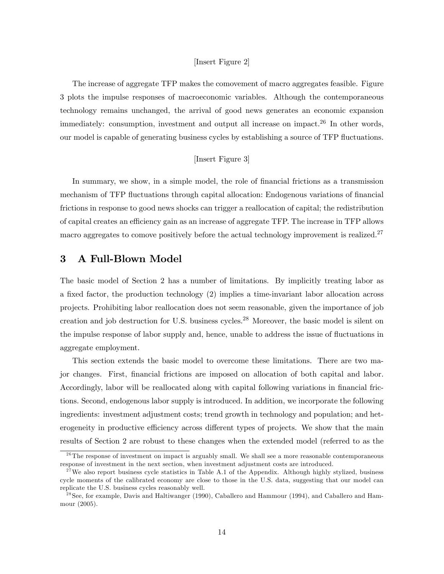#### [Insert Figure 2]

The increase of aggregate TFP makes the comovement of macro aggregates feasible. Figure 3 plots the impulse responses of macroeconomic variables. Although the contemporaneous technology remains unchanged, the arrival of good news generates an economic expansion immediately: consumption, investment and output all increase on impact.<sup>26</sup> In other words, our model is capable of generating business cycles by establishing a source of TFP fluctuations.

#### [Insert Figure 3]

In summary, we show, in a simple model, the role of financial frictions as a transmission mechanism of TFP fluctuations through capital allocation: Endogenous variations of financial frictions in response to good news shocks can trigger a reallocation of capital; the redistribution of capital creates an efficiency gain as an increase of aggregate TFP. The increase in TFP allows macro aggregates to comove positively before the actual technology improvement is realized.<sup>27</sup>

## 3 A Full-Blown Model

The basic model of Section 2 has a number of limitations. By implicitly treating labor as a fixed factor, the production technology  $(2)$  implies a time-invariant labor allocation across projects. Prohibiting labor reallocation does not seem reasonable, given the importance of job creation and job destruction for U.S. business cycles.<sup>28</sup> Moreover, the basic model is silent on the impulse response of labor supply and, hence, unable to address the issue of fluctuations in aggregate employment.

This section extends the basic model to overcome these limitations. There are two major changes. First, Önancial frictions are imposed on allocation of both capital and labor. Accordingly, labor will be reallocated along with capital following variations in financial frictions. Second, endogenous labor supply is introduced. In addition, we incorporate the following ingredients: investment adjustment costs; trend growth in technology and population; and heterogeneity in productive efficiency across different types of projects. We show that the main results of Section 2 are robust to these changes when the extended model (referred to as the

 $^{26}$ The response of investment on impact is arguably small. We shall see a more reasonable contemporaneous response of investment in the next section, when investment adjustment costs are introduced.

 $2^{7}$  We also report business cycle statistics in Table A.1 of the Appendix. Although highly stylized, business cycle moments of the calibrated economy are close to those in the U.S. data, suggesting that our model can replicate the U.S. business cycles reasonably well.

<sup>&</sup>lt;sup>28</sup> See, for example, Davis and Haltiwanger (1990), Caballero and Hammour (1994), and Caballero and Hammour (2005).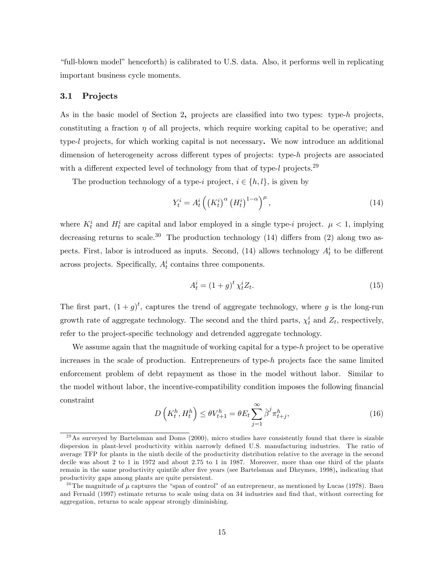ìfull-blown modelî henceforth) is calibrated to U.S. data. Also, it performs well in replicating important business cycle moments.

#### 3.1 Projects

As in the basic model of Section 2, projects are classified into two types: type-h projects, constituting a fraction  $\eta$  of all projects, which require working capital to be operative; and type-l projects, for which working capital is not necessary. We now introduce an additional dimension of heterogeneity across different types of projects: type-h projects are associated with a different expected level of technology from that of type-l projects.<sup>29</sup>

The production technology of a type-i project,  $i \in \{h, l\}$ , is given by

$$
Y_t^i = A_t^i \left( \left( K_t^i \right)^{\alpha} \left( H_t^i \right)^{1-\alpha} \right)^{\mu}, \tag{14}
$$

where  $K_t^i$  and  $H_t^i$  are capital and labor employed in a single type-i project.  $\mu < 1$ , implying decreasing returns to scale.<sup>30</sup> The production technology  $(14)$  differs from  $(2)$  along two aspects. First, labor is introduced as inputs. Second, (14) allows technology  $A_t^i$  to be different across projects. Specifically,  $A_t^i$  contains three components.

$$
A_t^i = (1+g)^t \chi_t^i Z_t. \tag{15}
$$

The first part,  $(1+g)^t$ , captures the trend of aggregate technology, where g is the long-run growth rate of aggregate technology. The second and the third parts,  $\chi_t^i$  and  $Z_t$ , respectively, refer to the project-specific technology and detrended aggregate technology.

We assume again that the magnitude of working capital for a type-h project to be operative increases in the scale of production. Entrepreneurs of type- $h$  projects face the same limited enforcement problem of debt repayment as those in the model without labor. Similar to the model without labor, the incentive-compatibility condition imposes the following financial constraint

$$
D\left(K_t^h, H_t^h\right) \le \theta V_{t+1}^h = \theta E_t \sum_{j=1}^{\infty} \hat{\beta}^j \pi_{t+j}^h,
$$
\n(16)

 $^{29}$ As surveyed by Bartelsman and Doms (2000), micro studies have consistently found that there is sizable dispersion in plant-level productivity within narrowly defined U.S. manufacturing industries. The ratio of average TFP for plants in the ninth decile of the productivity distribution relative to the average in the second decile was about 2 to 1 in 1972 and about 2.75 to 1 in 1987. Moreover, more than one third of the plants remain in the same productivity quintile after five years (see Bartelsman and Dhrymes, 1998), indicating that productivity gaps among plants are quite persistent.

<sup>&</sup>lt;sup>30</sup>The magnitude of  $\mu$  captures the "span of control" of an entrepreneur, as mentioned by Lucas (1978). Basu and Fernald (1997) estimate returns to scale using data on 34 industries and find that, without correcting for aggregation, returns to scale appear strongly diminishing.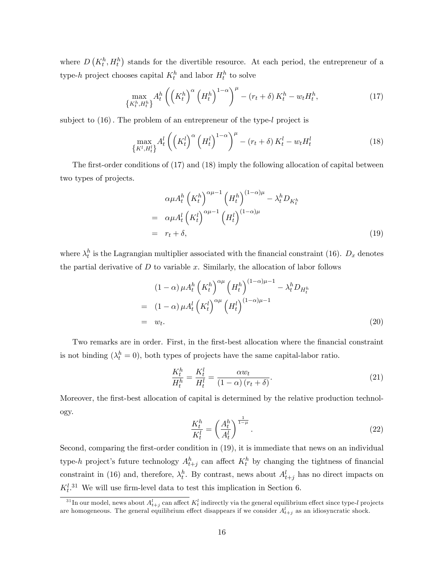where  $D\left(K_t^h, H_t^h\right)$  stands for the divertible resource. At each period, the entrepreneur of a type-h project chooses capital  $K_t^h$  and labor  $H_t^h$  to solve

$$
\max_{\{K_t^h, H_t^h\}} A_t^h \left( \left( K_t^h \right)^{\alpha} \left( H_t^h \right)^{1-\alpha} \right)^{\mu} - \left( r_t + \delta \right) K_t^h - w_t H_t^h, \tag{17}
$$

subject to  $(16)$ . The problem of an entrepreneur of the type-l project is

$$
\max_{\{K^l, H_t^l\}} A_t^l \left( \left( K_t^l \right)^{\alpha} \left( H_t^l \right)^{1-\alpha} \right)^{\mu} - \left( r_t + \delta \right) K_t^l - w_t H_t^l \tag{18}
$$

The first-order conditions of  $(17)$  and  $(18)$  imply the following allocation of capital between two types of projects.

$$
\alpha \mu A_t^h \left( K_t^h \right)^{\alpha \mu - 1} \left( H_t^h \right)^{(1 - \alpha)\mu} - \lambda_t^h D_{K_t^h}
$$
  
= 
$$
\alpha \mu A_t^l \left( K_t^l \right)^{\alpha \mu - 1} \left( H_t^l \right)^{(1 - \alpha)\mu}
$$
  
= 
$$
r_t + \delta,
$$
 (19)

where  $\lambda_t^h$  is the Lagrangian multiplier associated with the financial constraint (16).  $D_x$  denotes the partial derivative of  $D$  to variable  $x$ . Similarly, the allocation of labor follows

$$
(1 - \alpha) \mu A_t^h \left( K_t^h \right)^{\alpha \mu} \left( H_t^h \right)^{(1 - \alpha) \mu - 1} - \lambda_t^h D_{H_t^h}
$$
  
= 
$$
(1 - \alpha) \mu A_t^l \left( K_t^l \right)^{\alpha \mu} \left( H_t^l \right)^{(1 - \alpha) \mu - 1}
$$
  
= 
$$
w_t.
$$
 (20)

Two remarks are in order. First, in the first-best allocation where the financial constraint is not binding  $(\lambda_t^h = 0)$ , both types of projects have the same capital-labor ratio.

$$
\frac{K_t^h}{H_t^h} = \frac{K_t^l}{H_t^l} = \frac{\alpha w_t}{\left(1 - \alpha\right)\left(r_t + \delta\right)}.\tag{21}
$$

Moreover, the first-best allocation of capital is determined by the relative production technology.

$$
\frac{K_t^h}{K_t^l} = \left(\frac{A_t^h}{A_t^l}\right)^{\frac{1}{1-\mu}}.\tag{22}
$$

Second, comparing the first-order condition in  $(19)$ , it is immediate that news on an individual type-h project's future technology  $A_{t+j}^h$  can affect  $K_t^h$  by changing the tightness of financial constraint in (16) and, therefore,  $\lambda_t^h$ . By contrast, news about  $A_{t+j}^l$  has no direct impacts on  $K_t^{l,31}$  We will use firm-level data to test this implication in Section 6.

 $^{31}$ In our model, news about  $A_{t+j}^l$  can affect  $K_t^l$  indirectly via the general equilibrium effect since type-l projects are homogeneous. The general equilibrium effect disappears if we consider  $A_{t+j}^l$  as an idiosyncratic shock.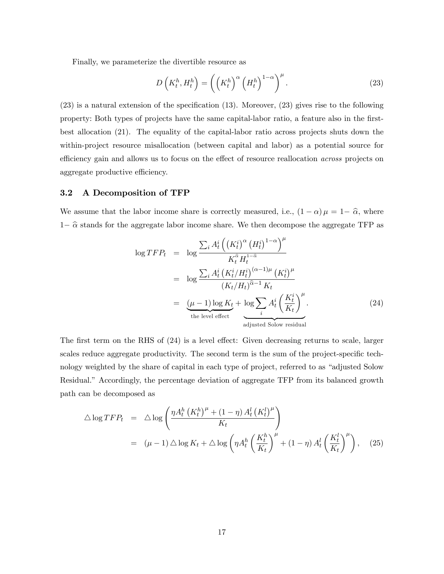Finally, we parameterize the divertible resource as

$$
D\left(K_t^h, H_t^h\right) = \left(\left(K_t^h\right)^\alpha \left(H_t^h\right)^{1-\alpha}\right)^\mu. \tag{23}
$$

 $(23)$  is a natural extension of the specification  $(13)$ . Moreover,  $(23)$  gives rise to the following property: Both types of projects have the same capital-labor ratio, a feature also in the firstbest allocation (21). The equality of the capital-labor ratio across projects shuts down the within-project resource misallocation (between capital and labor) as a potential source for efficiency gain and allows us to focus on the effect of resource reallocation *across* projects on aggregate productive efficiency.

#### 3.2 A Decomposition of TFP

We assume that the labor income share is correctly measured, i.e.,  $(1 - \alpha) \mu = 1 - \hat{\alpha}$ , where  $1-\hat{\alpha}$  stands for the aggregate labor income share. We then decompose the aggregate TFP as

$$
\log TFP_t = \log \frac{\sum_i A_t^i \left( (K_t^i)^{\alpha} (H_t^i)^{1-\alpha} \right)^{\mu}}{K_t^{\hat{\alpha}} H_t^{1-\hat{\alpha}}}
$$
  
\n
$$
= \log \frac{\sum_i A_t^i (K_t^i / H_t^i)^{(\alpha-1)\mu} (K_t^i)^{\mu}}{(K_t / H_t)^{\hat{\alpha}-1} K_t}
$$
  
\n
$$
= \underbrace{(\mu - 1) \log K_t}_{\text{the level effect}} + \underbrace{\log \sum_i A_t^i \left( \frac{K_t^i}{K_t} \right)^{\mu}}_{\text{adjusted Solow residual}}.
$$
 (24)

The first term on the RHS of  $(24)$  is a level effect: Given decreasing returns to scale, larger scales reduce aggregate productivity. The second term is the sum of the project-specific technology weighted by the share of capital in each type of project, referred to as "adjusted Solow Residual." Accordingly, the percentage deviation of aggregate TFP from its balanced growth path can be decomposed as

$$
\Delta \log TFP_t = \Delta \log \left( \frac{\eta A_t^h (K_t^h)^\mu + (1 - \eta) A_t^l (K_t^l)^\mu}{K_t} \right)
$$
  
= 
$$
(\mu - 1) \Delta \log K_t + \Delta \log \left( \eta A_t^h \left( \frac{K_t^h}{K_t} \right)^\mu + (1 - \eta) A_t^l \left( \frac{K_t^l}{K_t} \right)^\mu \right), \quad (25)
$$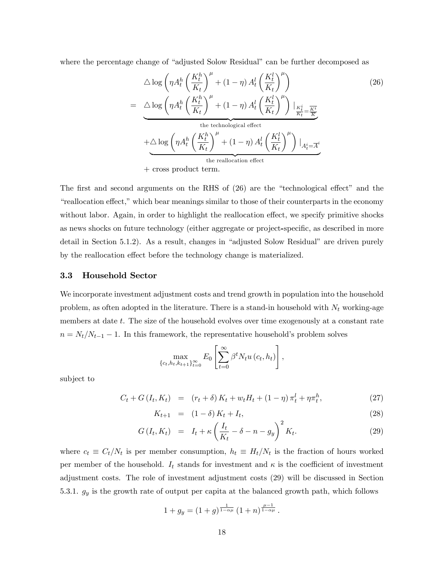where the percentage change of "adjusted Solow Residual" can be further decomposed as

$$
\Delta \log \left( \eta A_t^h \left( \frac{K_t^h}{K_t} \right)^\mu + (1 - \eta) A_t^l \left( \frac{K_t^l}{K_t} \right)^\mu \right)
$$
\n
$$
= \Delta \log \left( \eta A_t^h \left( \frac{K_t^h}{K_t} \right)^\mu + (1 - \eta) A_t^l \left( \frac{K_t^l}{K_t} \right)^\mu \right) \Big|_{\frac{K_t^i}{K_t} = \frac{K^i}{K}}
$$
\nthe technological effect

\n
$$
+ \Delta \log \left( \eta A_t^h \left( \frac{K_t^h}{K_t} \right)^\mu + (1 - \eta) A_t^l \left( \frac{K_t^l}{K_t} \right)^\mu \right) \Big|_{A_t^i = \overline{A}^i}
$$
\nthe reallocation effect

\n
$$
+ \text{cross product term.}
$$
\n(126)

The first and second arguments on the RHS of  $(26)$  are the "technological effect" and the ìreallocation e§ect,î which bear meanings similar to those of their counterparts in the economy without labor. Again, in order to highlight the reallocation effect, we specify primitive shocks as news shocks on future technology (either aggregate or project-specific, as described in more detail in Section  $5.1.2$ ). As a result, changes in "adjusted Solow Residual" are driven purely by the reallocation effect before the technology change is materialized.

#### 3.3 Household Sector

We incorporate investment adjustment costs and trend growth in population into the household problem, as often adopted in the literature. There is a stand-in household with  $N_t$  working-age members at date t. The size of the household evolves over time exogenously at a constant rate  $n = N_t/N_{t-1} - 1$ . In this framework, the representative household's problem solves

$$
\max_{\{c_t, h_t, k_{t+1}\}_{t=0}^{\infty}} E_0 \left[ \sum_{t=0}^{\infty} \beta^t N_t u(c_t, h_t) \right],
$$

subject to

$$
C_t + G(I_t, K_t) = (r_t + \delta) K_t + w_t H_t + (1 - \eta) \pi_t^l + \eta \pi_t^h, \tag{27}
$$

$$
K_{t+1} = (1 - \delta) K_t + I_t, \tag{28}
$$

$$
G(I_t, K_t) = I_t + \kappa \left(\frac{I_t}{K_t} - \delta - n - g_y\right)^2 K_t.
$$
 (29)

where  $c_t \equiv C_t/N_t$  is per member consumption,  $h_t \equiv H_t/N_t$  is the fraction of hours worked per member of the household.  $I_t$  stands for investment and  $\kappa$  is the coefficient of investment adjustment costs. The role of investment adjustment costs (29) will be discussed in Section 5.3.1.  $g_y$  is the growth rate of output per capita at the balanced growth path, which follows

$$
1 + g_y = (1 + g)^{\frac{1}{1 - \alpha \mu}} (1 + n)^{\frac{\mu - 1}{1 - \alpha \mu}}.
$$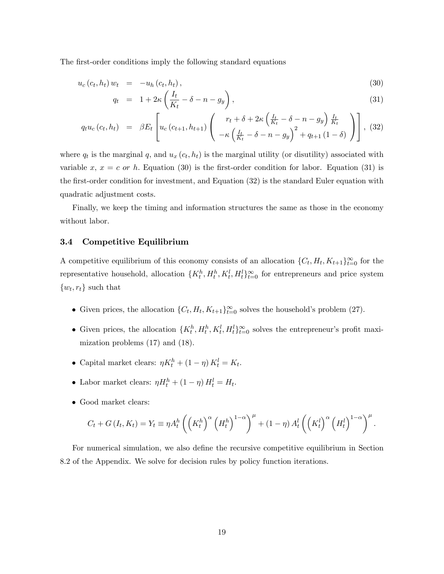The first-order conditions imply the following standard equations

$$
u_c(c_t, h_t) w_t = -u_h(c_t, h_t), \qquad (30)
$$

$$
q_t = 1 + 2\kappa \left(\frac{I_t}{K_t} - \delta - n - g_y\right),\tag{31}
$$

$$
q_t u_c (c_t, h_t) = \beta E_t \left[ u_c (c_{t+1}, h_{t+1}) \left( \begin{array}{c} r_t + \delta + 2\kappa \left( \frac{I_t}{K_t} - \delta - n - g_y \right) \frac{I_t}{K_t} \\ -\kappa \left( \frac{I_t}{K_t} - \delta - n - g_y \right)^2 + q_{t+1} \left( 1 - \delta \right) \end{array} \right) \right], (32)
$$

where  $q_t$  is the marginal q, and  $u_x(c_t, h_t)$  is the marginal utility (or disutility) associated with variable x,  $x = c$  or h. Equation (30) is the first-order condition for labor. Equation (31) is the first-order condition for investment, and Equation (32) is the standard Euler equation with quadratic adjustment costs.

Finally, we keep the timing and information structures the same as those in the economy without labor.

#### 3.4 Competitive Equilibrium

A competitive equilibrium of this economy consists of an allocation  $\{C_t, H_t, K_{t+1}\}_{t=0}^{\infty}$  for the representative household, allocation  $\{K_t^h, H_t^h, K_t^l, H_t^l\}_{t=0}^{\infty}$  for entrepreneurs and price system  $\{w_t, r_t\}$  such that

- Given prices, the allocation  $\{C_t, H_t, K_{t+1}\}_{t=0}^{\infty}$  solves the household's problem (27).
- Given prices, the allocation  $\{K_t^h, H_t^h, K_t^l, H_t^l\}_{t=0}^{\infty}$  solves the entrepreneur's profit maximization problems (17) and (18).
- Capital market clears:  $\eta K_t^h + (1 \eta) K_t^l = K_t$ .
- Labor market clears:  $\eta H_t^h + (1 \eta) H_t^l = H_t$ .
- Good market clears:

$$
C_t + G(I_t, K_t) = Y_t \equiv \eta A_t^h \left( \left( K_t^h \right)^{\alpha} \left( H_t^h \right)^{1-\alpha} \right)^{\mu} + (1-\eta) A_t^l \left( \left( K_t^l \right)^{\alpha} \left( H_t^l \right)^{1-\alpha} \right)^{\mu}.
$$

For numerical simulation, we also define the recursive competitive equilibrium in Section 8.2 of the Appendix. We solve for decision rules by policy function iterations.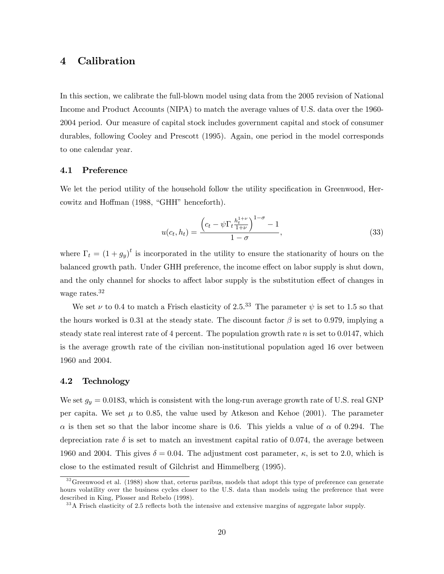## 4 Calibration

In this section, we calibrate the full-blown model using data from the 2005 revision of National Income and Product Accounts (NIPA) to match the average values of U.S. data over the 1960- 2004 period. Our measure of capital stock includes government capital and stock of consumer durables, following Cooley and Prescott (1995). Again, one period in the model corresponds to one calendar year.

#### 4.1 Preference

We let the period utility of the household follow the utility specification in Greenwood, Hercowitz and Hoffman (1988, "GHH" henceforth).

$$
u(c_t, h_t) = \frac{\left(c_t - \psi \Gamma_t \frac{h_t^{1+\nu}}{1+\nu}\right)^{1-\sigma} - 1}{1-\sigma},
$$
\n(33)

where  $\Gamma_t = (1 + g_y)^t$  is incorporated in the utility to ensure the stationarity of hours on the balanced growth path. Under GHH preference, the income effect on labor supply is shut down, and the only channel for shocks to affect labor supply is the substitution effect of changes in wage rates.<sup>32</sup>

We set  $\nu$  to 0.4 to match a Frisch elasticity of 2.5.<sup>33</sup> The parameter  $\psi$  is set to 1.5 so that the hours worked is 0.31 at the steady state. The discount factor  $\beta$  is set to 0.979, implying a steady state real interest rate of 4 percent. The population growth rate  $n$  is set to 0.0147, which is the average growth rate of the civilian non-institutional population aged 16 over between 1960 and 2004.

#### 4.2 Technology

We set  $g_y = 0.0183$ , which is consistent with the long-run average growth rate of U.S. real GNP per capita. We set  $\mu$  to 0.85, the value used by Atkeson and Kehoe (2001). The parameter  $\alpha$  is then set so that the labor income share is 0.6. This yields a value of  $\alpha$  of 0.294. The depreciation rate  $\delta$  is set to match an investment capital ratio of 0.074, the average between 1960 and 2004. This gives  $\delta = 0.04$ . The adjustment cost parameter,  $\kappa$ , is set to 2.0, which is close to the estimated result of Gilchrist and Himmelberg (1995).

 $32$  Greenwood et al. (1988) show that, ceterus paribus, models that adopt this type of preference can generate hours volatility over the business cycles closer to the U.S. data than models using the preference that were described in King, Plosser and Rebelo (1998).

<sup>&</sup>lt;sup>33</sup> A Frisch elasticity of 2.5 reflects both the intensive and extensive margins of aggregate labor supply.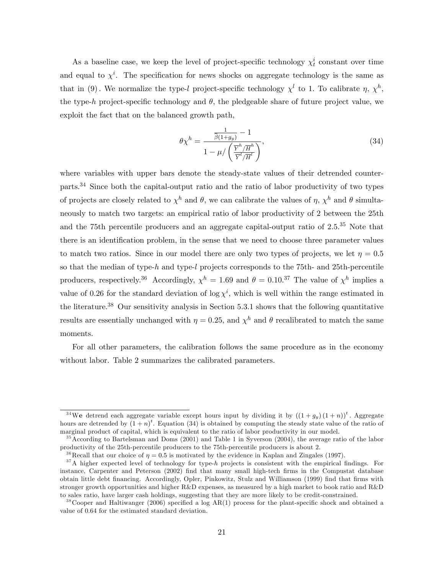As a baseline case, we keep the level of project-specific technology  $\chi_t^i$  constant over time and equal to  $\chi^i$ . The specification for news shocks on aggregate technology is the same as that in (9). We normalize the type-l project-specific technology  $\chi^l$  to 1. To calibrate  $\eta$ ,  $\chi^h$ , the type-h project-specific technology and  $\theta$ , the pledgeable share of future project value, we exploit the fact that on the balanced growth path,

$$
\theta \chi^h = \frac{\frac{1}{\widehat{\beta}(1+g_y)} - 1}{1 - \mu / \left(\frac{\overline{Y}^h / \overline{H}^h}{\overline{Y}^l / \overline{H}^l}\right)},\tag{34}
$$

where variables with upper bars denote the steady-state values of their detrended counterparts.<sup>34</sup> Since both the capital-output ratio and the ratio of labor productivity of two types of projects are closely related to  $\chi^h$  and  $\theta$ , we can calibrate the values of  $\eta$ ,  $\chi^h$  and  $\theta$  simultaneously to match two targets: an empirical ratio of labor productivity of 2 between the 25th and the 75th percentile producers and an aggregate capital-output ratio of  $2.5^{35}$  Note that there is an identification problem, in the sense that we need to choose three parameter values to match two ratios. Since in our model there are only two types of projects, we let  $\eta = 0.5$ so that the median of type-h and type-l projects corresponds to the 75th- and 25th-percentile producers, respectively.<sup>36</sup> Accordingly,  $\chi^h = 1.69$  and  $\theta = 0.10^{37}$  The value of  $\chi^h$  implies a value of 0.26 for the standard deviation of  $\log \chi^i$ , which is well within the range estimated in the literature.<sup>38</sup> Our sensitivity analysis in Section 5.3.1 shows that the following quantitative results are essentially unchanged with  $\eta = 0.25$ , and  $\chi^h$  and  $\theta$  recalibrated to match the same moments.

For all other parameters, the calibration follows the same procedure as in the economy without labor. Table 2 summarizes the calibrated parameters.

<sup>&</sup>lt;sup>34</sup>We detrend each aggregate variable except hours input by dividing it by  $((1+g_y)(1+n))^{t}$ . Aggregate hours are detrended by  $(1+n)^t$ . Equation (34) is obtained by computing the steady state value of the ratio of marginal product of capital, which is equivalent to the ratio of labor productivity in our model.

<sup>&</sup>lt;sup>35</sup> According to Bartelsman and Doms (2001) and Table 1 in Syverson (2004), the average ratio of the labor productivity of the 25th-percentile producers to the 75th-percentile producers is about 2.

<sup>&</sup>lt;sup>36</sup> Recall that our choice of  $\eta = 0.5$  is motivated by the evidence in Kaplan and Zingales (1997).

 $37A$  higher expected level of technology for type-h projects is consistent with the empirical findings. For instance, Carpenter and Peterson (2002) find that many small high-tech firms in the Compustat database obtain little debt Önancing. Accordingly, Opler, Pinkowitz, Stulz and Williamson (1999) Önd that Örms with stronger growth opportunities and higher R&D expenses, as measured by a high market to book ratio and R&D to sales ratio, have larger cash holdings, suggesting that they are more likely to be credit-constrained.

 $38\degree$ Cooper and Haltiwanger (2006) specified a log AR(1) process for the plant-specific shock and obtained a value of 0.64 for the estimated standard deviation.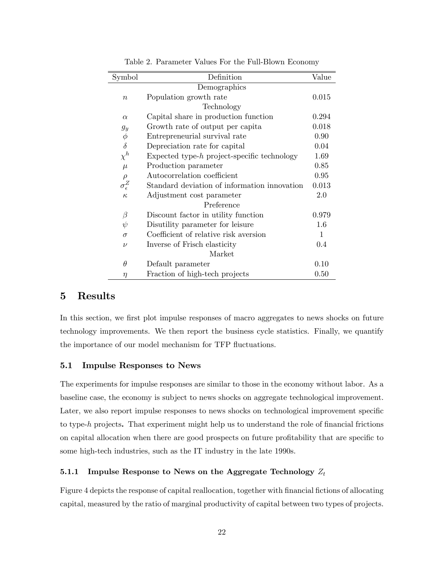| Symbol                  | Definition                                     | Value |
|-------------------------|------------------------------------------------|-------|
|                         | Demographics                                   |       |
| $\boldsymbol{n}$        | Population growth rate                         | 0.015 |
|                         | Technology                                     |       |
| $\alpha$                | Capital share in production function           | 0.294 |
| $g_y$                   | Growth rate of output per capita               | 0.018 |
| $\phi$                  | Entrepreneurial survival rate                  | 0.90  |
| $\delta$                | Depreciation rate for capital                  | 0.04  |
| $\chi^h$                | Expected type- $h$ project-specific technology | 1.69  |
| $\mu$                   | Production parameter                           | 0.85  |
| $\rho$                  | Autocorrelation coefficient                    | 0.95  |
| $\sigma_{\epsilon}^{Z}$ | Standard deviation of information innovation   | 0.013 |
| $\kappa$                | Adjustment cost parameter                      | 2.0   |
|                         | Preference                                     |       |
| $\beta$                 | Discount factor in utility function            | 0.979 |
| $\psi$                  | Disutility parameter for leisure               | 1.6   |
| $\sigma$                | Coefficient of relative risk aversion          | 1     |
| $\nu$                   | Inverse of Frisch elasticity                   | 0.4   |
|                         | Market                                         |       |
| $\theta$                | Default parameter                              | 0.10  |
| η                       | Fraction of high-tech projects                 | 0.50  |

Table 2. Parameter Values For the Full-Blown Economy

## 5 Results

In this section, we first plot impulse responses of macro aggregates to news shocks on future technology improvements. We then report the business cycle statistics. Finally, we quantify the importance of our model mechanism for TFP fluctuations.

#### 5.1 Impulse Responses to News

The experiments for impulse responses are similar to those in the economy without labor. As a baseline case, the economy is subject to news shocks on aggregate technological improvement. Later, we also report impulse responses to news shocks on technological improvement specific to type- $h$  projects. That experiment might help us to understand the role of financial frictions on capital allocation when there are good prospects on future profitability that are specific to some high-tech industries, such as the IT industry in the late 1990s.

#### 5.1.1 Impulse Response to News on the Aggregate Technology  $Z_t$

Figure 4 depicts the response of capital reallocation, together with financial fictions of allocating capital, measured by the ratio of marginal productivity of capital between two types of projects.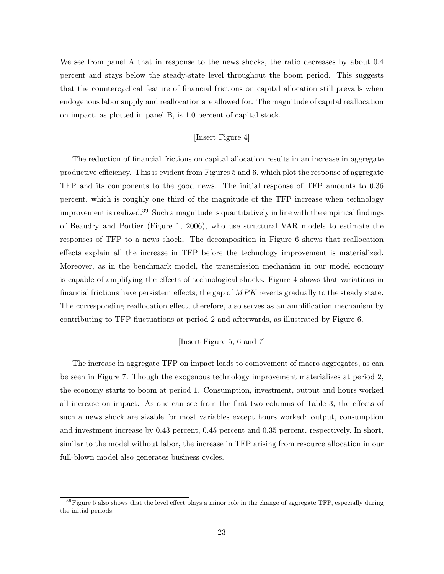We see from panel A that in response to the news shocks, the ratio decreases by about 0.4 percent and stays below the steady-state level throughout the boom period. This suggests that the countercyclical feature of financial frictions on capital allocation still prevails when endogenous labor supply and reallocation are allowed for. The magnitude of capital reallocation on impact, as plotted in panel B, is 1.0 percent of capital stock.

#### [Insert Figure 4]

The reduction of financial frictions on capital allocation results in an increase in aggregate productive efficiency. This is evident from Figures  $5$  and  $6$ , which plot the response of aggregate TFP and its components to the good news. The initial response of TFP amounts to 0:36 percent, which is roughly one third of the magnitude of the TFP increase when technology improvement is realized.<sup>39</sup> Such a magnitude is quantitatively in line with the empirical findings of Beaudry and Portier (Figure 1, 2006), who use structural VAR models to estimate the responses of TFP to a news shock. The decomposition in Figure 6 shows that reallocation effects explain all the increase in TFP before the technology improvement is materialized. Moreover, as in the benchmark model, the transmission mechanism in our model economy is capable of amplifying the effects of technological shocks. Figure 4 shows that variations in financial frictions have persistent effects; the gap of  $MPK$  reverts gradually to the steady state. The corresponding reallocation effect, therefore, also serves as an amplification mechanism by contributing to TFP áuctuations at period 2 and afterwards, as illustrated by Figure 6.

#### [Insert Figure 5, 6 and 7]

The increase in aggregate TFP on impact leads to comovement of macro aggregates, as can be seen in Figure 7. Though the exogenous technology improvement materializes at period 2, the economy starts to boom at period 1. Consumption, investment, output and hours worked all increase on impact. As one can see from the first two columns of Table 3, the effects of such a news shock are sizable for most variables except hours worked: output, consumption and investment increase by 0.43 percent, 0.45 percent and 0.35 percent, respectively. In short, similar to the model without labor, the increase in TFP arising from resource allocation in our full-blown model also generates business cycles.

 $39$  Figure 5 also shows that the level effect plays a minor role in the change of aggregate TFP, especially during the initial periods.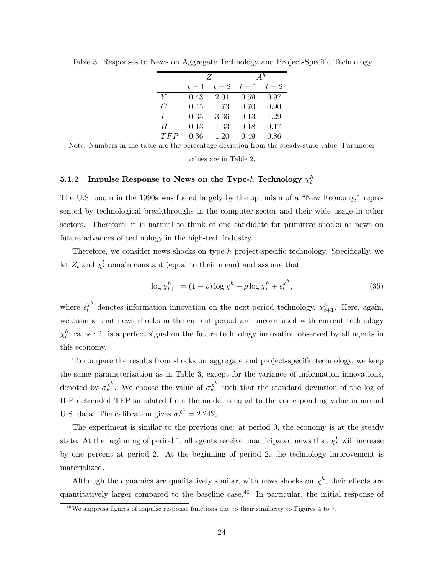|                | Z     |       | $A^h$ |       |
|----------------|-------|-------|-------|-------|
|                | $t=1$ | $t=2$ | $t=1$ | $t=2$ |
| Y              | 0.43  | 2.01  | 0.59  | 0.97  |
| $\overline{C}$ | 0.45  | 1.73  | 0.70  | 0.90  |
| Τ              | 0.35  | 3.36  | 0.13  | 1.29  |
| H              | 0.13  | 1.33  | 0.18  | 0.17  |
| TFP            | 0.36  | 1.20  | 0.49  | 0.86  |

Table 3. Responses to News on Aggregate Technology and Project-Specific Technology

Note: Numbers in the table are the percentage deviation from the steady-state value. Parameter

values are in Table 2.

## $\textbf{5.1.2} \quad \textbf{Impulse Response to News on the Type-} h \textbf{ Technology } \chi_t^h$

The U.S. boom in the 1990s was fueled largely by the optimism of a "New Economy," represented by technological breakthroughs in the computer sector and their wide usage in other sectors. Therefore, it is natural to think of one candidate for primitive shocks as news on future advances of technology in the high-tech industry.

Therefore, we consider news shocks on type- $h$  project-specific technology. Specifically, we let  $Z_t$  and  $\chi_t^l$  remain constant (equal to their mean) and assume that

$$
\log \chi_{t+1}^h = (1 - \rho) \log \bar{\chi}^h + \rho \log \chi_t^h + \epsilon_t^{\chi^h},\tag{35}
$$

where  $\epsilon_t^{\chi^h}$  denotes information innovation on the next-period technology,  $\chi^h_{t+1}$ . Here, again, we assume that news shocks in the current period are uncorrelated with current technology  $\chi_t^h$ ; rather, it is a perfect signal on the future technology innovation observed by all agents in this economy.

To compare the results from shocks on aggregate and project-specific technology, we keep the same parameterization as in Table 3, except for the variance of information innovations, denoted by  $\sigma_{\epsilon}^{\chi^h}$ . We choose the value of  $\sigma_{\epsilon}^{\chi^h}$  such that the standard deviation of the log of H-P detrended TFP simulated from the model is equal to the corresponding value in annual U.S. data. The calibration gives  $\sigma_{\epsilon}^{\chi^h} = 2.24\%$ .

The experiment is similar to the previous one: at period 0, the economy is at the steady state. At the beginning of period 1, all agents receive unanticipated news that  $\chi_t^h$  will increase by one percent at period 2. At the beginning of period 2, the technology improvement is materialized.

Although the dynamics are qualitatively similar, with news shocks on  $\chi^h$ , their effects are quantitatively larger compared to the baseline case.<sup>40</sup> In particular, the initial response of

 $\frac{40}{40}$ We suppress figures of impulse response functions due to their similarity to Figures 4 to 7.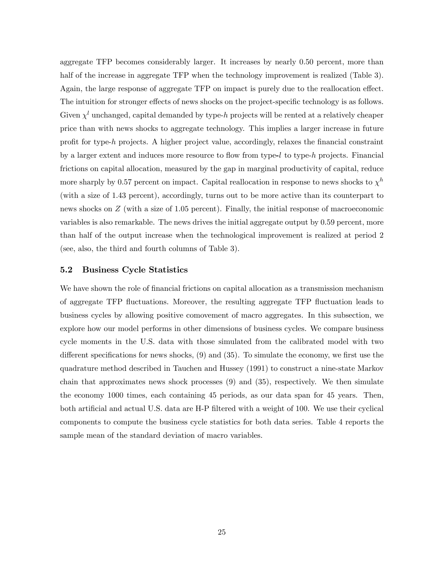aggregate TFP becomes considerably larger. It increases by nearly 0:50 percent, more than half of the increase in aggregate TFP when the technology improvement is realized (Table 3). Again, the large response of aggregate TFP on impact is purely due to the reallocation effect. The intuition for stronger effects of news shocks on the project-specific technology is as follows. Given  $\chi^l$  unchanged, capital demanded by type-h projects will be rented at a relatively cheaper price than with news shocks to aggregate technology. This implies a larger increase in future profit for type-h projects. A higher project value, accordingly, relaxes the financial constraint by a larger extent and induces more resource to flow from type- $l$  to type- $h$  projects. Financial frictions on capital allocation, measured by the gap in marginal productivity of capital, reduce more sharply by 0.57 percent on impact. Capital reallocation in response to news shocks to  $\chi^h$ (with a size of 1:43 percent), accordingly, turns out to be more active than its counterpart to news shocks on Z (with a size of 1.05 percent). Finally, the initial response of macroeconomic variables is also remarkable. The news drives the initial aggregate output by 0:59 percent, more than half of the output increase when the technological improvement is realized at period 2 (see, also, the third and fourth columns of Table 3).

#### 5.2 Business Cycle Statistics

We have shown the role of financial frictions on capital allocation as a transmission mechanism of aggregate TFP áuctuations. Moreover, the resulting aggregate TFP áuctuation leads to business cycles by allowing positive comovement of macro aggregates. In this subsection, we explore how our model performs in other dimensions of business cycles. We compare business cycle moments in the U.S. data with those simulated from the calibrated model with two different specifications for news shocks,  $(9)$  and  $(35)$ . To simulate the economy, we first use the quadrature method described in Tauchen and Hussey (1991) to construct a nine-state Markov chain that approximates news shock processes (9) and (35), respectively. We then simulate the economy 1000 times, each containing 45 periods, as our data span for 45 years. Then, both artificial and actual U.S. data are H-P filtered with a weight of 100. We use their cyclical components to compute the business cycle statistics for both data series. Table 4 reports the sample mean of the standard deviation of macro variables.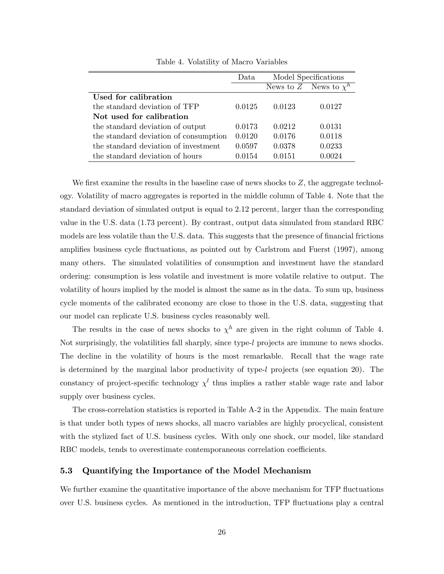|                                       | Data   | Model Specifications |                            |
|---------------------------------------|--------|----------------------|----------------------------|
|                                       |        |                      | News to Z News to $\chi^h$ |
| Used for calibration                  |        |                      |                            |
| the standard deviation of TFP         | 0.0125 | 0.0123               | 0.0127                     |
| Not used for calibration              |        |                      |                            |
| the standard deviation of output      | 0.0173 | 0.0212               | 0.0131                     |
| the standard deviation of consumption | 0.0120 | 0.0176               | 0.0118                     |
| the standard deviation of investment  | 0.0597 | 0.0378               | 0.0233                     |
| the standard deviation of hours       | 0.0154 | 0.0151               | 0.0024                     |

Table 4. Volatility of Macro Variables

We first examine the results in the baseline case of news shocks to  $Z$ , the aggregate technology. Volatility of macro aggregates is reported in the middle column of Table 4. Note that the standard deviation of simulated output is equal to 2.12 percent, larger than the corresponding value in the U.S. data (1.73 percent). By contrast, output data simulated from standard RBC models are less volatile than the U.S. data. This suggests that the presence of financial frictions amplifies business cycle fluctuations, as pointed out by Carlstrom and Fuerst (1997), among many others. The simulated volatilities of consumption and investment have the standard ordering: consumption is less volatile and investment is more volatile relative to output. The volatility of hours implied by the model is almost the same as in the data. To sum up, business cycle moments of the calibrated economy are close to those in the U.S. data, suggesting that our model can replicate U.S. business cycles reasonably well.

The results in the case of news shocks to  $\chi^h$  are given in the right column of Table 4. Not surprisingly, the volatilities fall sharply, since type-l projects are immune to news shocks. The decline in the volatility of hours is the most remarkable. Recall that the wage rate is determined by the marginal labor productivity of type-l projects (see equation 20). The constancy of project-specific technology  $\chi^l$  thus implies a rather stable wage rate and labor supply over business cycles.

The cross-correlation statistics is reported in Table A-2 in the Appendix. The main feature is that under both types of news shocks, all macro variables are highly procyclical, consistent with the stylized fact of U.S. business cycles. With only one shock, our model, like standard RBC models, tends to overestimate contemporaneous correlation coefficients.

#### 5.3 Quantifying the Importance of the Model Mechanism

We further examine the quantitative importance of the above mechanism for TFP fluctuations over U.S. business cycles. As mentioned in the introduction, TFP áuctuations play a central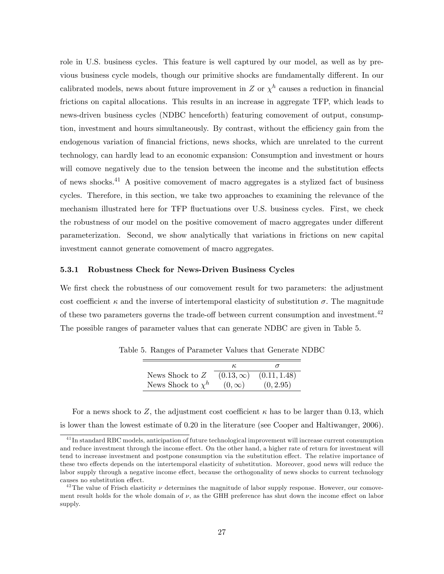role in U.S. business cycles. This feature is well captured by our model, as well as by previous business cycle models, though our primitive shocks are fundamentally different. In our calibrated models, news about future improvement in Z or  $\chi^h$  causes a reduction in financial frictions on capital allocations. This results in an increase in aggregate TFP, which leads to news-driven business cycles (NDBC henceforth) featuring comovement of output, consumption, investment and hours simultaneously. By contrast, without the efficiency gain from the endogenous variation of Önancial frictions, news shocks, which are unrelated to the current technology, can hardly lead to an economic expansion: Consumption and investment or hours will comove negatively due to the tension between the income and the substitution effects of news shocks.<sup>41</sup> A positive comovement of macro aggregates is a stylized fact of business cycles. Therefore, in this section, we take two approaches to examining the relevance of the mechanism illustrated here for TFP fluctuations over U.S. business cycles. First, we check the robustness of our model on the positive comovement of macro aggregates under different parameterization. Second, we show analytically that variations in frictions on new capital investment cannot generate comovement of macro aggregates.

#### 5.3.1 Robustness Check for News-Driven Business Cycles

We first check the robustness of our comovement result for two parameters: the adjustment cost coefficient  $\kappa$  and the inverse of intertemporal elasticity of substitution  $\sigma$ . The magnitude of these two parameters governs the trade-off between current consumption and investment.<sup>42</sup> The possible ranges of parameter values that can generate NDBC are given in Table 5.

| News Shock to $Z$      | $(0.13,\infty)$ | (0.11, 1.48) |
|------------------------|-----------------|--------------|
| News Shock to $\chi^h$ | $(0,\infty)$    | (0, 2.95)    |

Table 5. Ranges of Parameter Values that Generate NDBC

For a news shock to Z, the adjustment cost coefficient  $\kappa$  has to be larger than 0.13, which is lower than the lowest estimate of 0:20 in the literature (see Cooper and Haltiwanger, 2006).

<sup>&</sup>lt;sup>41</sup> In standard RBC models, anticipation of future technological improvement will increase current consumption and reduce investment through the income effect. On the other hand, a higher rate of return for investment will tend to increase investment and postpone consumption via the substitution effect. The relative importance of these two effects depends on the intertemporal elasticity of substitution. Moreover, good news will reduce the labor supply through a negative income effect, because the orthogonality of news shocks to current technology causes no substitution effect.

<sup>&</sup>lt;sup>42</sup>The value of Frisch elasticity  $\nu$  determines the magnitude of labor supply response. However, our comovement result holds for the whole domain of  $\nu$ , as the GHH preference has shut down the income effect on labor supply.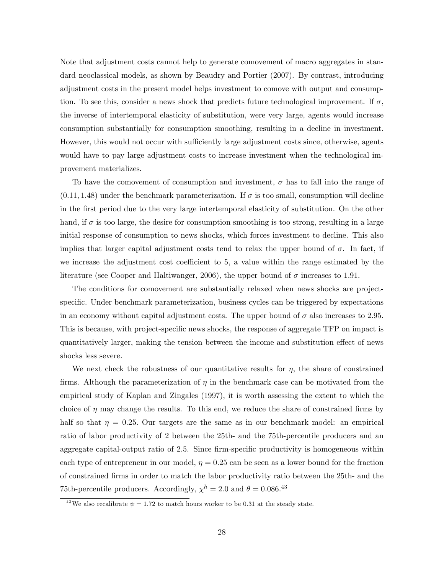Note that adjustment costs cannot help to generate comovement of macro aggregates in standard neoclassical models, as shown by Beaudry and Portier (2007). By contrast, introducing adjustment costs in the present model helps investment to comove with output and consumption. To see this, consider a news shock that predicts future technological improvement. If  $\sigma$ , the inverse of intertemporal elasticity of substitution, were very large, agents would increase consumption substantially for consumption smoothing, resulting in a decline in investment. However, this would not occur with sufficiently large adjustment costs since, otherwise, agents would have to pay large adjustment costs to increase investment when the technological improvement materializes.

To have the comovement of consumption and investment,  $\sigma$  has to fall into the range of  $(0.11, 1.48)$  under the benchmark parameterization. If  $\sigma$  is too small, consumption will decline in the first period due to the very large intertemporal elasticity of substitution. On the other hand, if  $\sigma$  is too large, the desire for consumption smoothing is too strong, resulting in a large initial response of consumption to news shocks, which forces investment to decline. This also implies that larger capital adjustment costs tend to relax the upper bound of  $\sigma$ . In fact, if we increase the adjustment cost coefficient to 5, a value within the range estimated by the literature (see Cooper and Haltiwanger, 2006), the upper bound of  $\sigma$  increases to 1.91.

The conditions for comovement are substantially relaxed when news shocks are projectspecific. Under benchmark parameterization, business cycles can be triggered by expectations in an economy without capital adjustment costs. The upper bound of  $\sigma$  also increases to 2.95. This is because, with project-specific news shocks, the response of aggregate TFP on impact is quantitatively larger, making the tension between the income and substitution effect of news shocks less severe.

We next check the robustness of our quantitative results for  $\eta$ , the share of constrained firms. Although the parameterization of  $\eta$  in the benchmark case can be motivated from the empirical study of Kaplan and Zingales (1997), it is worth assessing the extent to which the choice of  $\eta$  may change the results. To this end, we reduce the share of constrained firms by half so that  $\eta = 0.25$ . Our targets are the same as in our benchmark model: an empirical ratio of labor productivity of 2 between the 25th- and the 75th-percentile producers and an aggregate capital-output ratio of 2.5. Since firm-specific productivity is homogeneous within each type of entrepreneur in our model,  $\eta = 0.25$  can be seen as a lower bound for the fraction of constrained Örms in order to match the labor productivity ratio between the 25th- and the 75th-percentile producers. Accordingly,  $\chi^h = 2.0$  and  $\theta = 0.086$ <sup>43</sup>

<sup>&</sup>lt;sup>43</sup>We also recalibrate  $\psi = 1.72$  to match hours worker to be 0.31 at the steady state.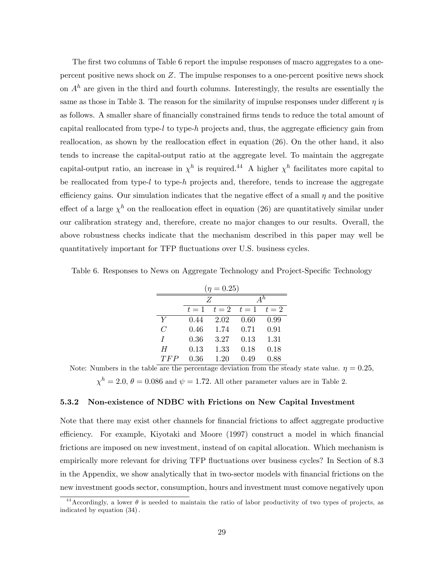The first two columns of Table 6 report the impulse responses of macro aggregates to a onepercent positive news shock on Z. The impulse responses to a one-percent positive news shock on  $A<sup>h</sup>$  are given in the third and fourth columns. Interestingly, the results are essentially the same as those in Table 3. The reason for the similarity of impulse responses under different  $\eta$  is as follows. A smaller share of financially constrained firms tends to reduce the total amount of capital reallocated from type-l to type-h projects and, thus, the aggregate efficiency gain from reallocation, as shown by the reallocation effect in equation  $(26)$ . On the other hand, it also tends to increase the capital-output ratio at the aggregate level. To maintain the aggregate capital-output ratio, an increase in  $\chi^h$  is required.<sup>44</sup> A higher  $\chi^h$  facilitates more capital to be reallocated from type-l to type-h projects and, therefore, tends to increase the aggregate efficiency gains. Our simulation indicates that the negative effect of a small  $\eta$  and the positive effect of a large  $\chi^h$  on the reallocation effect in equation (26) are quantitatively similar under our calibration strategy and, therefore, create no major changes to our results. Overall, the above robustness checks indicate that the mechanism described in this paper may well be quantitatively important for TFP áuctuations over U.S. business cycles.

| Table 6. Responses to News on Aggregate Technology and Project-Specific Technology |  |  |  |  |
|------------------------------------------------------------------------------------|--|--|--|--|
|------------------------------------------------------------------------------------|--|--|--|--|

| $(\eta = 0.25)$ |       |       |       |       |
|-----------------|-------|-------|-------|-------|
|                 |       | Z     |       | $A^h$ |
|                 | $t=1$ | $t=2$ | $t=1$ | $t=2$ |
| Y               | 0.44  | 2.02  | 0.60  | 0.99  |
| $\overline{C}$  | 0.46  | 1.74  | 0.71  | 0.91  |
| Τ               | 0.36  | 3.27  | 0.13  | 1.31  |
| H               | 0.13  | 1.33  | 0.18  | 0.18  |
| TFP             | 0.36  | 1.20  | 0.49  | 0.88  |

Note: Numbers in the table are the percentage deviation from the steady state value.  $\eta = 0.25$ ,

 $\chi^h = 2.0, \theta = 0.086$  and  $\psi = 1.72$ . All other parameter values are in Table 2.

#### 5.3.2 Non-existence of NDBC with Frictions on New Capital Investment

Note that there may exist other channels for financial frictions to affect aggregate productive efficiency. For example, Kiyotaki and Moore (1997) construct a model in which financial frictions are imposed on new investment, instead of on capital allocation. Which mechanism is empirically more relevant for driving TFP fluctuations over business cycles? In Section of 8.3 in the Appendix, we show analytically that in two-sector models with financial frictions on the new investment goods sector, consumption, hours and investment must comove negatively upon

<sup>&</sup>lt;sup>44</sup> Accordingly, a lower  $\theta$  is needed to maintain the ratio of labor productivity of two types of projects, as indicated by equation  $(34)$ .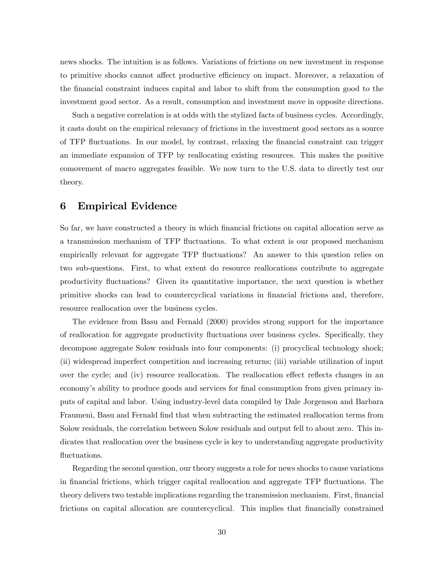news shocks. The intuition is as follows. Variations of frictions on new investment in response to primitive shocks cannot affect productive efficiency on impact. Moreover, a relaxation of the Önancial constraint induces capital and labor to shift from the consumption good to the investment good sector. As a result, consumption and investment move in opposite directions.

Such a negative correlation is at odds with the stylized facts of business cycles. Accordingly, it casts doubt on the empirical relevancy of frictions in the investment good sectors as a source of TFP áuctuations. In our model, by contrast, relaxing the Önancial constraint can trigger an immediate expansion of TFP by reallocating existing resources. This makes the positive comovement of macro aggregates feasible. We now turn to the U.S. data to directly test our theory.

### 6 Empirical Evidence

So far, we have constructed a theory in which financial frictions on capital allocation serve as a transmission mechanism of TFP áuctuations. To what extent is our proposed mechanism empirically relevant for aggregate TFP fluctuations? An answer to this question relies on two sub-questions. First, to what extent do resource reallocations contribute to aggregate productivity fluctuations? Given its quantitative importance, the next question is whether primitive shocks can lead to countercyclical variations in Önancial frictions and, therefore, resource reallocation over the business cycles.

The evidence from Basu and Fernald (2000) provides strong support for the importance of reallocation for aggregate productivity fluctuations over business cycles. Specifically, they decompose aggregate Solow residuals into four components: (i) procyclical technology shock; (ii) widespread imperfect competition and increasing returns; (iii) variable utilization of input over the cycle; and (iv) resource reallocation. The reallocation effect reflects changes in an economy's ability to produce goods and services for final consumption from given primary inputs of capital and labor. Using industry-level data compiled by Dale Jorgenson and Barbara Fraumeni, Basu and Fernald Önd that when subtracting the estimated reallocation terms from Solow residuals, the correlation between Solow residuals and output fell to about zero. This indicates that reallocation over the business cycle is key to understanding aggregate productivity fluctuations.

Regarding the second question, our theory suggests a role for news shocks to cause variations in financial frictions, which trigger capital reallocation and aggregate TFP fluctuations. The theory delivers two testable implications regarding the transmission mechanism. First, financial frictions on capital allocation are countercyclical. This implies that Önancially constrained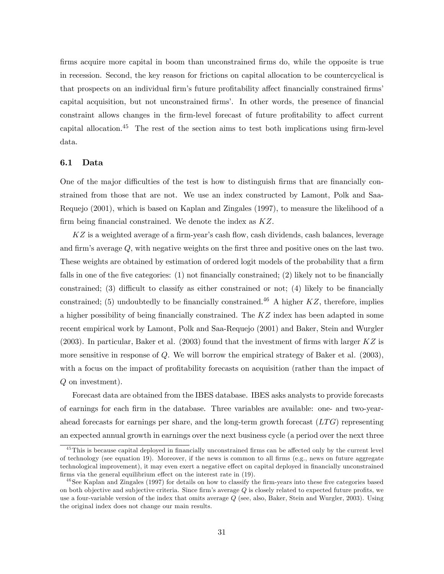firms acquire more capital in boom than unconstrained firms do, while the opposite is true in recession. Second, the key reason for frictions on capital allocation to be countercyclical is that prospects on an individual firm's future profitability affect financially constrained firms' capital acquisition, but not unconstrained firms<sup>7</sup>. In other words, the presence of financial constraint allows changes in the firm-level forecast of future profitability to affect current capital allocation.<sup>45</sup> The rest of the section aims to test both implications using firm-level data.

#### 6.1 Data

One of the major difficulties of the test is how to distinguish firms that are financially constrained from those that are not. We use an index constructed by Lamont, Polk and Saa-Requejo (2001), which is based on Kaplan and Zingales (1997), to measure the likelihood of a firm being financial constrained. We denote the index as  $KZ$ .

 $KZ$  is a weighted average of a firm-year's cash flow, cash dividends, cash balances, leverage and firm's average  $Q$ , with negative weights on the first three and positive ones on the last two. These weights are obtained by estimation of ordered logit models of the probability that a firm falls in one of the five categories:  $(1)$  not financially constrained;  $(2)$  likely not to be financially constrained; (3) difficult to classify as either constrained or not; (4) likely to be financially constrained; (5) undoubtedly to be financially constrained.<sup>46</sup> A higher  $KZ$ , therefore, implies a higher possibility of being financially constrained. The  $KZ$  index has been adapted in some recent empirical work by Lamont, Polk and Saa-Requejo (2001) and Baker, Stein and Wurgler (2003). In particular, Baker et al. (2003) found that the investment of firms with larger  $KZ$  is more sensitive in response of  $Q$ . We will borrow the empirical strategy of Baker et al. (2003), with a focus on the impact of profitability forecasts on acquisition (rather than the impact of Q on investment).

Forecast data are obtained from the IBES database. IBES asks analysts to provide forecasts of earnings for each Örm in the database. Three variables are available: one- and two-yearahead forecasts for earnings per share, and the long-term growth forecast  $(LTG)$  representing an expected annual growth in earnings over the next business cycle (a period over the next three

 $45$ This is because capital deployed in financially unconstrained firms can be affected only by the current level of technology (see equation 19). Moreover, if the news is common to all Örms (e.g., news on future aggregate technological improvement), it may even exert a negative effect on capital deployed in financially unconstrained firms via the general equilibrium effect on the interest rate in  $(19)$ .

 $^{46}$ See Kaplan and Zingales (1997) for details on how to classify the firm-years into these five categories based on both objective and subjective criteria. Since firm's average  $Q$  is closely related to expected future profits, we use a four-variable version of the index that omits average Q (see, also, Baker, Stein and Wurgler, 2003). Using the original index does not change our main results.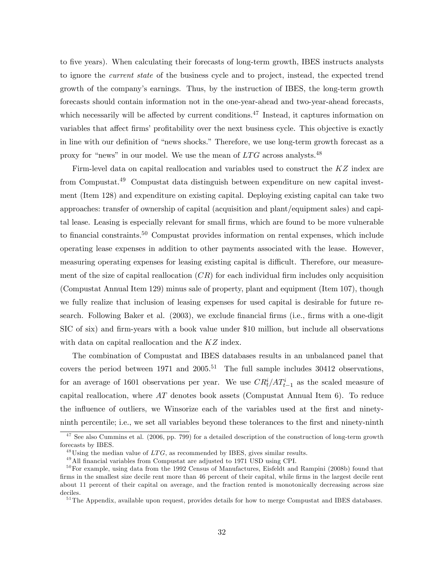to Öve years). When calculating their forecasts of long-term growth, IBES instructs analysts to ignore the current state of the business cycle and to project, instead, the expected trend growth of the companyís earnings. Thus, by the instruction of IBES, the long-term growth forecasts should contain information not in the one-year-ahead and two-year-ahead forecasts, which necessarily will be affected by current conditions. $47$  Instead, it captures information on variables that affect firms' profitability over the next business cycle. This objective is exactly in line with our definition of "news shocks." Therefore, we use long-term growth forecast as a proxy for "news" in our model. We use the mean of  $LTG$  across analysts.<sup>48</sup>

Firm-level data on capital reallocation and variables used to construct the KZ index are from Compustat.<sup>49</sup> Compustat data distinguish between expenditure on new capital investment (Item 128) and expenditure on existing capital. Deploying existing capital can take two approaches: transfer of ownership of capital (acquisition and plant/equipment sales) and capital lease. Leasing is especially relevant for small Örms, which are found to be more vulnerable to financial constraints.<sup>50</sup> Compustat provides information on rental expenses, which include operating lease expenses in addition to other payments associated with the lease. However, measuring operating expenses for leasing existing capital is difficult. Therefore, our measurement of the size of capital reallocation  $(CR)$  for each individual firm includes only acquisition (Compustat Annual Item 129) minus sale of property, plant and equipment (Item 107), though we fully realize that inclusion of leasing expenses for used capital is desirable for future research. Following Baker et al. (2003), we exclude financial firms (i.e., firms with a one-digit SIC of six) and firm-years with a book value under \$10 million, but include all observations with data on capital reallocation and the KZ index.

The combination of Compustat and IBES databases results in an unbalanced panel that covers the period between 1971 and  $2005$ <sup>51</sup> The full sample includes 30412 observations, for an average of 1601 observations per year. We use  $CR_t^i/AT_{t-1}^i$  as the scaled measure of capital reallocation, where  $AT$  denotes book assets (Compustat Annual Item 6). To reduce the influence of outliers, we Winsorize each of the variables used at the first and ninetyninth percentile; i.e., we set all variables beyond these tolerances to the first and ninety-ninth

 $\frac{47}{1}$  See also Cummins et al. (2006, pp. 799) for a detailed description of the construction of long-term growth forecasts by IBES.

 $^{48}$ Using the median value of LTG, as recommended by IBES, gives similar results.

 $49$  All financial variables from Compustat are adjusted to 1971 USD using CPI.

 $50$  For example, using data from the 1992 Census of Manufactures, Eisfeldt and Rampini (2008b) found that firms in the smallest size decile rent more than 46 percent of their capital, while firms in the largest decile rent about 11 percent of their capital on average, and the fraction rented is monotonically decreasing across size deciles.

<sup>&</sup>lt;sup>51</sup> The Appendix, available upon request, provides details for how to merge Compustat and IBES databases.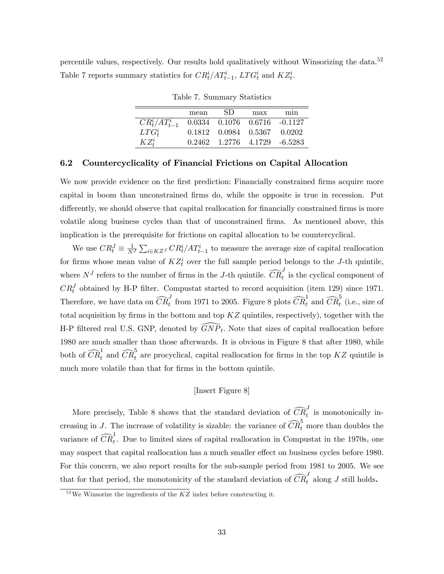percentile values, respectively. Our results hold qualitatively without Winsorizing the data.<sup>52</sup> Table 7 reports summary statistics for  $CR_t^i/AT_{t-1}^i$ ,  $LTG_t^i$  and  $KZ_t^i$ .

|                     | mean | SD.                                              | max | min |
|---------------------|------|--------------------------------------------------|-----|-----|
| $CR_t^i/AT_{t-1}^i$ |      | $0.0334$ $0.1076$ $0.6716$ $-0.1127$             |     |     |
| $LTG_t^i$           |      | $0.1812 \quad 0.0984 \quad 0.5367 \quad 0.0202$  |     |     |
| $KZ^i_*$            |      | $0.2462 \quad 1.2776 \quad 4.1729 \quad -6.5283$ |     |     |

Table 7. Summary Statistics

#### 6.2 Countercyclicality of Financial Frictions on Capital Allocation

We now provide evidence on the first prediction: Financially constrained firms acquire more capital in boom than unconstrained Örms do, while the opposite is true in recession. Put differently, we should observe that capital reallocation for financially constrained firms is more volatile along business cycles than that of unconstrained Örms. As mentioned above, this implication is the prerequisite for frictions on capital allocation to be countercyclical.

We use  $CR_t^J \equiv \frac{1}{N^J} \sum_{i \in KZ^J} CR_t^i/AT_{t-1}^i$  to measure the average size of capital reallocation for firms whose mean value of  $KZ_t^i$  over the full sample period belongs to the J-th quintile, where  $N^J$  refers to the number of firms in the J-th quintile.  $\widehat{CR}_t^J$  is the cyclical component of  $CR_t^J$  obtained by H-P filter. Compustat started to record acquisition (item 129) since 1971. Therefore, we have data on  $\widehat{CR}_t^J$  from 1971 to 2005. Figure 8 plots  $\widehat{CR}_t^1$  and  $\widehat{CR}_t^5$  (i.e., size of total acquisition by firms in the bottom and top  $KZ$  quintiles, respectively), together with the H-P filtered real U.S. GNP, denoted by  $\widehat{GNP}_t$ . Note that sizes of capital reallocation before 1980 are much smaller than those afterwards. It is obvious in Figure 8 that after 1980, while both of  $\widehat{CR}_t^1$  and  $\widehat{CR}_t^5$  are procyclical, capital reallocation for firms in the top KZ quintile is much more volatile than that for firms in the bottom quintile.

#### [Insert Figure 8]

More precisely, Table 8 shows that the standard deviation of  $\widehat{CR}_{t}^{J}$  is monotonically increasing in J. The increase of volatility is sizable: the variance of  $\widehat{CR}_t^5$  more than doubles the variance of  $\widehat{CR}^1_t$ . Due to limited sizes of capital reallocation in Compustat in the 1970s, one may suspect that capital reallocation has a much smaller effect on business cycles before 1980. For this concern, we also report results for the sub-sample period from 1981 to 2005. We see that for that period, the monotonicity of the standard deviation of  $\widehat{CR}_{t}^{J}$  along J still holds.

 $52$  We Winsorize the ingredients of the KZ index before constructing it.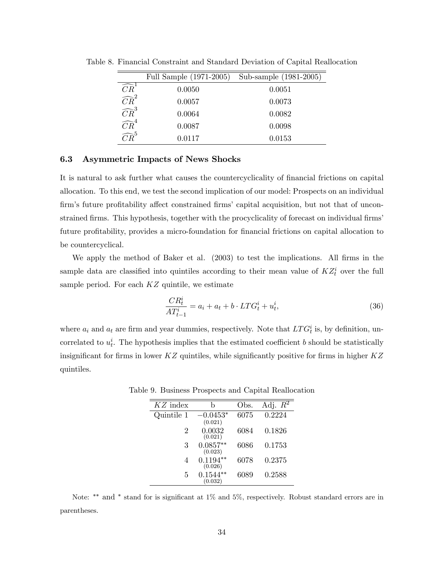|                                                                     | Full Sample (1971-2005) | Sub-sample (1981-2005) |
|---------------------------------------------------------------------|-------------------------|------------------------|
| $\overline{\widehat{CR}}^1$                                         | 0.0050                  | 0.0051                 |
| $\overrightarrow{CR}^2 \overrightarrow{CR}^3 \overrightarrow{CR}^4$ | 0.0057                  | 0.0073                 |
|                                                                     | 0.0064                  | 0.0082                 |
|                                                                     | 0.0087                  | 0.0098                 |
| $\widehat{CR}^5$                                                    | 0.0117                  | 0.0153                 |

Table 8. Financial Constraint and Standard Deviation of Capital Reallocation

#### 6.3 Asymmetric Impacts of News Shocks

It is natural to ask further what causes the countercyclicality of financial frictions on capital allocation. To this end, we test the second implication of our model: Prospects on an individual firm's future profitability affect constrained firms' capital acquisition, but not that of unconstrained firms. This hypothesis, together with the procyclicality of forecast on individual firms' future profitability, provides a micro-foundation for financial frictions on capital allocation to be countercyclical.

We apply the method of Baker et al. (2003) to test the implications. All firms in the sample data are classified into quintiles according to their mean value of  $KZ_t^i$  over the full sample period. For each  $KZ$  quintile, we estimate

$$
\frac{CR_t^i}{AT_{t-1}^i} = a_i + a_t + b \cdot LTG_t^i + u_t^i,
$$
\n(36)

where  $a_i$  and  $a_t$  are firm and year dummies, respectively. Note that  $LTG_t^i$  is, by definition, uncorrelated to  $u_t^i$ . The hypothesis implies that the estimated coefficient b should be statistically insignificant for firms in lower  $KZ$  quintiles, while significantly positive for firms in higher  $KZ$ quintiles.

| $KZ$ index | b                     | Obs. | Adj. $R^2$ |
|------------|-----------------------|------|------------|
| Quintile 1 | $-0.0453*$<br>(0.021) | 6075 | 0.2224     |
| 2          | 0.0032<br>(0.021)     | 6084 | 0.1826     |
| 3          | $0.0857**$<br>(0.023) | 6086 | 0.1753     |
| 4          | $0.1194**$<br>(0.026) | 6078 | 0.2375     |
| 5          | 0.1544<br>(0.032)     | 6089 | 0.2588     |

Table 9. Business Prospects and Capital Reallocation

Note:  $**$  and  $*$  stand for is significant at 1% and 5%, respectively. Robust standard errors are in parentheses.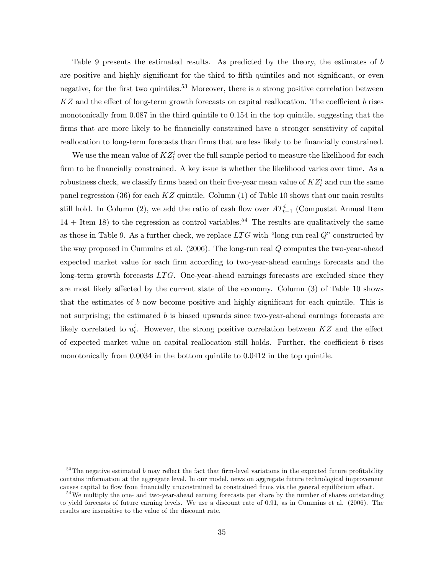Table 9 presents the estimated results. As predicted by the theory, the estimates of b are positive and highly significant for the third to fifth quintiles and not significant, or even negative, for the first two quintiles.<sup>53</sup> Moreover, there is a strong positive correlation between  $KZ$  and the effect of long-term growth forecasts on capital reallocation. The coefficient b rises monotonically from 0.087 in the third quintile to 0.154 in the top quintile, suggesting that the firms that are more likely to be financially constrained have a stronger sensitivity of capital reallocation to long-term forecasts than firms that are less likely to be financially constrained.

We use the mean value of  $KZ_t^i$  over the full sample period to measure the likelihood for each firm to be financially constrained. A key issue is whether the likelihood varies over time. As a robustness check, we classify firms based on their five-year mean value of  $KZ_t^i$  and run the same panel regression (36) for each  $KZ$  quintile. Column (1) of Table 10 shows that our main results still hold. In Column (2), we add the ratio of cash flow over  $AT_{t-1}^i$  (Compustat Annual Item  $14 +$  Item 18) to the regression as control variables.<sup>54</sup> The results are qualitatively the same as those in Table 9. As a further check, we replace  $LTG$  with "long-run real  $Q$ " constructed by the way proposed in Cummins et al. (2006). The long-run real Q computes the two-year-ahead expected market value for each firm according to two-year-ahead earnings forecasts and the long-term growth forecasts  $LTG$ . One-year-ahead earnings forecasts are excluded since they are most likely affected by the current state of the economy. Column  $(3)$  of Table 10 shows that the estimates of  $b$  now become positive and highly significant for each quintile. This is not surprising; the estimated  $b$  is biased upwards since two-year-ahead earnings forecasts are likely correlated to  $u_t^i$ . However, the strong positive correlation between  $KZ$  and the effect of expected market value on capital reallocation still holds. Further, the coefficient  $b$  rises monotonically from 0.0034 in the bottom quintile to 0.0412 in the top quintile.

 $53$  The negative estimated b may reflect the fact that firm-level variations in the expected future profitability contains information at the aggregate level. In our model, news on aggregate future technological improvement causes capital to flow from financially unconstrained to constrained firms via the general equilibrium effect.

<sup>&</sup>lt;sup>54</sup>We multiply the one- and two-year-ahead earning forecasts per share by the number of shares outstanding to yield forecasts of future earning levels. We use a discount rate of 0:91, as in Cummins et al. (2006). The results are insensitive to the value of the discount rate.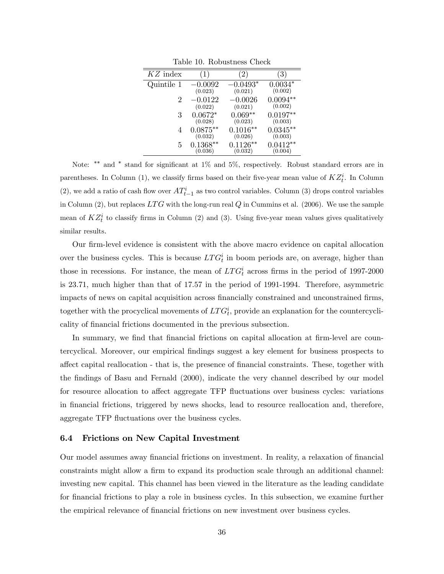| $KZ$ index |            |            | 3          |
|------------|------------|------------|------------|
| Quintile 1 | $-0.0092$  | $-0.0493*$ | $0.0034*$  |
|            | (0.023)    | (0.021)    | (0.002)    |
| 2          | $-0.0122$  | $-0.0026$  | $0.0094**$ |
|            | (0.022)    | (0.021)    | (0.002)    |
| 3          | $0.0672*$  | $0.069**$  | $0.0197**$ |
|            | (0.028)    | (0.023)    | (0.003)    |
| 4          | $0.0875**$ | $0.1016**$ | $0.0345**$ |
|            | (0.032)    | (0.026)    | (0.003)    |
| 5          | $0.1368**$ | $0.1126**$ | $0.0412**$ |
|            | (0.036)    | (0.032)    | (0.004)    |

Table 10. Robustness Check

Note:  $**$  and  $*$  stand for significant at 1% and 5%, respectively. Robust standard errors are in parentheses. In Column (1), we classify firms based on their five-year mean value of  $KZ_t^i$ . In Column (2), we add a ratio of cash flow over  $AT_{t-1}^i$  as two control variables. Column (3) drops control variables in Column (2), but replaces  $LTG$  with the long-run real  $Q$  in Cummins et al. (2006). We use the sample mean of  $KZ_t^i$  to classify firms in Column (2) and (3). Using five-year mean values gives qualitatively similar results.

Our firm-level evidence is consistent with the above macro evidence on capital allocation over the business cycles. This is because  $LTG_t^i$  in boom periods are, on average, higher than those in recessions. For instance, the mean of  $LTG_t^i$  across firms in the period of 1997-2000 is 23:71, much higher than that of 17:57 in the period of 1991-1994. Therefore, asymmetric impacts of news on capital acquisition across financially constrained and unconstrained firms, together with the procyclical movements of  $LTG_t^i$ , provide an explanation for the countercyclicality of financial frictions documented in the previous subsection.

In summary, we find that financial frictions on capital allocation at firm-level are countercyclical. Moreover, our empirical Öndings suggest a key element for business prospects to affect capital reallocation - that is, the presence of financial constraints. These, together with the findings of Basu and Fernald (2000), indicate the very channel described by our model for resource allocation to affect aggregate TFP fluctuations over business cycles: variations in Önancial frictions, triggered by news shocks, lead to resource reallocation and, therefore, aggregate TFP fluctuations over the business cycles.

#### 6.4 Frictions on New Capital Investment

Our model assumes away Önancial frictions on investment. In reality, a relaxation of Önancial constraints might allow a firm to expand its production scale through an additional channel: investing new capital. This channel has been viewed in the literature as the leading candidate for financial frictions to play a role in business cycles. In this subsection, we examine further the empirical relevance of financial frictions on new investment over business cycles.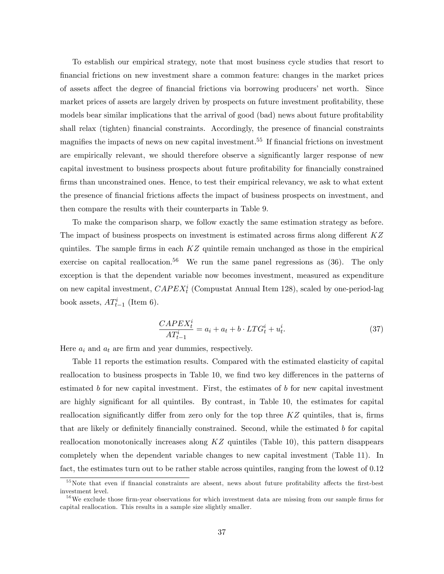To establish our empirical strategy, note that most business cycle studies that resort to Önancial frictions on new investment share a common feature: changes in the market prices of assets affect the degree of financial frictions via borrowing producers' net worth. Since market prices of assets are largely driven by prospects on future investment profitability, these models bear similar implications that the arrival of good (bad) news about future profitability shall relax (tighten) financial constraints. Accordingly, the presence of financial constraints magnifies the impacts of news on new capital investment.<sup>55</sup> If financial frictions on investment are empirically relevant, we should therefore observe a significantly larger response of new capital investment to business prospects about future profitability for financially constrained firms than unconstrained ones. Hence, to test their empirical relevancy, we ask to what extent the presence of financial frictions affects the impact of business prospects on investment, and then compare the results with their counterparts in Table 9.

To make the comparison sharp, we follow exactly the same estimation strategy as before. The impact of business prospects on investment is estimated across firms along different  $KZ$ quintiles. The sample firms in each  $KZ$  quintile remain unchanged as those in the empirical exercise on capital reallocation.<sup>56</sup> We run the same panel regressions as  $(36)$ . The only exception is that the dependent variable now becomes investment, measured as expenditure on new capital investment,  $CAPEX_t^i$  (Compustat Annual Item 128), scaled by one-period-lag book assets,  $AT_{t-1}^i$  (Item 6).

$$
\frac{CAPEX_t^i}{AT_{t-1}^i} = a_i + a_t + b \cdot LTG_t^i + u_t^i.
$$
\n
$$
(37)
$$

Here  $a_i$  and  $a_t$  are firm and year dummies, respectively.

Table 11 reports the estimation results. Compared with the estimated elasticity of capital reallocation to business prospects in Table 10, we find two key differences in the patterns of estimated b for new capital investment. First, the estimates of b for new capital investment are highly significant for all quintiles. By contrast, in Table 10, the estimates for capital reallocation significantly differ from zero only for the top three  $KZ$  quintiles, that is, firms that are likely or definitely financially constrained. Second, while the estimated  $b$  for capital reallocation monotonically increases along  $KZ$  quintiles (Table 10), this pattern disappears completely when the dependent variable changes to new capital investment (Table 11). In fact, the estimates turn out to be rather stable across quintiles, ranging from the lowest of 0.12

 $55$ Note that even if financial constraints are absent, news about future profitability affects the first-best investment level.

 $56$  We exclude those firm-year observations for which investment data are missing from our sample firms for capital reallocation. This results in a sample size slightly smaller.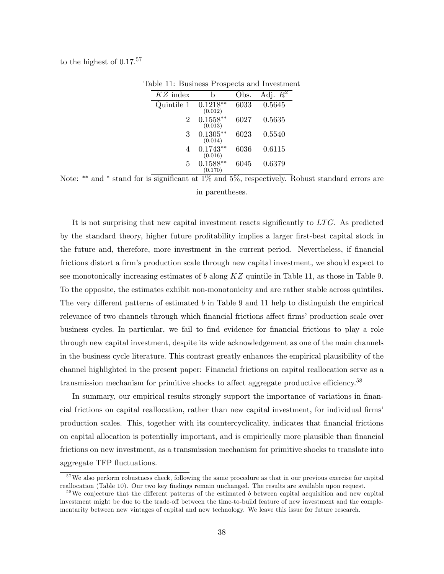to the highest of  $0.17^{57}$ 

| $KZ$ index | h                     | Obs. | Adj. $\overline{R^2}$ |
|------------|-----------------------|------|-----------------------|
| Quintile 1 | $0.1218**$<br>(0.012) | 6033 | 0.5645                |
| 2          | $0.1558**$<br>(0.013) | 6027 | 0.5635                |
| 3          | $0.1305**$<br>(0.014) | 6023 | 0.5540                |
| 4          | $0.1743**$<br>(0.016) | 6036 | 0.6115                |
| 5          | $0.1588**$<br>(0.170) | 6045 | 0.6379                |

Table 11: Business Prospects and Investment

Note:  $**$  and  $*$  stand for is significant at  $1\%$  and  $5\%$ , respectively. Robust standard errors are in parentheses.

It is not surprising that new capital investment reacts significantly to  $LTG$ . As predicted by the standard theory, higher future profitability implies a larger first-best capital stock in the future and, therefore, more investment in the current period. Nevertheless, if Önancial frictions distort a firm's production scale through new capital investment, we should expect to see monotonically increasing estimates of b along  $KZ$  quintile in Table 11, as those in Table 9. To the opposite, the estimates exhibit non-monotonicity and are rather stable across quintiles. The very different patterns of estimated b in Table 9 and 11 help to distinguish the empirical relevance of two channels through which financial frictions affect firms' production scale over business cycles. In particular, we fail to find evidence for financial frictions to play a role through new capital investment, despite its wide acknowledgement as one of the main channels in the business cycle literature. This contrast greatly enhances the empirical plausibility of the channel highlighted in the present paper: Financial frictions on capital reallocation serve as a transmission mechanism for primitive shocks to affect aggregate productive efficiency.<sup>58</sup>

In summary, our empirical results strongly support the importance of variations in financial frictions on capital reallocation, rather than new capital investment, for individual firms' production scales. This, together with its countercyclicality, indicates that Önancial frictions on capital allocation is potentially important, and is empirically more plausible than Önancial frictions on new investment, as a transmission mechanism for primitive shocks to translate into aggregate TFP áuctuations.

<sup>&</sup>lt;sup>57</sup>We also perform robustness check, following the same procedure as that in our previous exercise for capital reallocation (Table 10). Our two key findings remain unchanged. The results are available upon request.

 $58$ We conjecture that the different patterns of the estimated b between capital acquisition and new capital investment might be due to the trade-off between the time-to-build feature of new investment and the complementarity between new vintages of capital and new technology. We leave this issue for future research.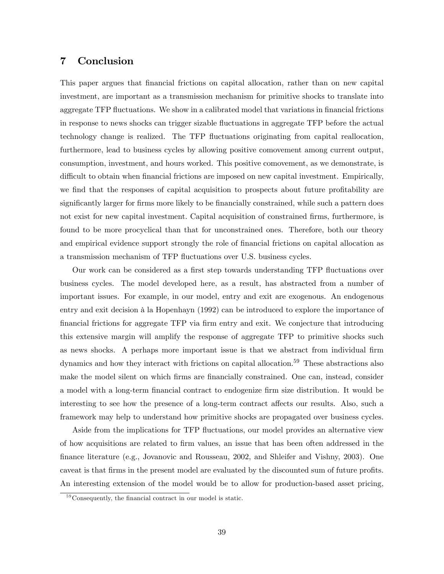## 7 Conclusion

This paper argues that Önancial frictions on capital allocation, rather than on new capital investment, are important as a transmission mechanism for primitive shocks to translate into aggregate TFP fluctuations. We show in a calibrated model that variations in financial frictions in response to news shocks can trigger sizable fluctuations in aggregate TFP before the actual technology change is realized. The TFP áuctuations originating from capital reallocation, furthermore, lead to business cycles by allowing positive comovement among current output, consumption, investment, and hours worked. This positive comovement, as we demonstrate, is difficult to obtain when financial frictions are imposed on new capital investment. Empirically, we find that the responses of capital acquisition to prospects about future profitability are significantly larger for firms more likely to be financially constrained, while such a pattern does not exist for new capital investment. Capital acquisition of constrained firms, furthermore, is found to be more procyclical than that for unconstrained ones. Therefore, both our theory and empirical evidence support strongly the role of financial frictions on capital allocation as a transmission mechanism of TFP áuctuations over U.S. business cycles.

Our work can be considered as a first step towards understanding TFP fluctuations over business cycles. The model developed here, as a result, has abstracted from a number of important issues. For example, in our model, entry and exit are exogenous. An endogenous entry and exit decision à la Hopenhayn (1992) can be introduced to explore the importance of Önancial frictions for aggregate TFP via Örm entry and exit. We conjecture that introducing this extensive margin will amplify the response of aggregate TFP to primitive shocks such as news shocks. A perhaps more important issue is that we abstract from individual firm dynamics and how they interact with frictions on capital allocation.<sup>59</sup> These abstractions also make the model silent on which firms are financially constrained. One can, instead, consider a model with a long-term financial contract to endogenize firm size distribution. It would be interesting to see how the presence of a long-term contract affects our results. Also, such a framework may help to understand how primitive shocks are propagated over business cycles.

Aside from the implications for TFP fluctuations, our model provides an alternative view of how acquisitions are related to Örm values, an issue that has been often addressed in the Önance literature (e.g., Jovanovic and Rousseau, 2002, and Shleifer and Vishny, 2003). One caveat is that firms in the present model are evaluated by the discounted sum of future profits. An interesting extension of the model would be to allow for production-based asset pricing,

 $59$  Consequently, the financial contract in our model is static.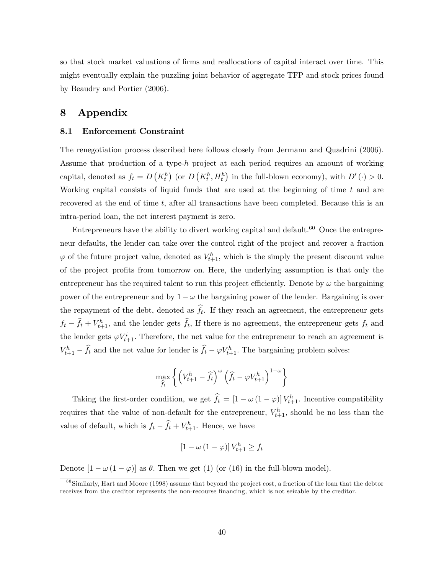so that stock market valuations of firms and reallocations of capital interact over time. This might eventually explain the puzzling joint behavior of aggregate TFP and stock prices found by Beaudry and Portier (2006).

## 8 Appendix

#### 8.1 Enforcement Constraint

The renegotiation process described here follows closely from Jermann and Quadrini (2006). Assume that production of a type-h project at each period requires an amount of working capital, denoted as  $f_t = D\left(K_t^h\right)$  (or  $D\left(K_t^h, H_t^h\right)$  in the full-blown economy), with  $D'(\cdot) > 0$ . Working capital consists of liquid funds that are used at the beginning of time  $t$  and are recovered at the end of time  $t$ , after all transactions have been completed. Because this is an intra-period loan, the net interest payment is zero.

Entrepreneurs have the ability to divert working capital and default.<sup>60</sup> Once the entrepreneur defaults, the lender can take over the control right of the project and recover a fraction  $\varphi$  of the future project value, denoted as  $V_{t+1}^h$ , which is the simply the present discount value of the project profits from tomorrow on. Here, the underlying assumption is that only the entrepreneur has the required talent to run this project efficiently. Denote by  $\omega$  the bargaining power of the entrepreneur and by  $1 - \omega$  the bargaining power of the lender. Bargaining is over the repayment of the debt, denoted as  $f_t$ . If they reach an agreement, the entrepreneur gets  $f_t - \hat{f}_t + V_{t+1}^h$ , and the lender gets  $\hat{f}_t$ , If there is no agreement, the entrepreneur gets  $f_t$  and the lender gets  $\varphi V_{t+1}^i$ . Therefore, the net value for the entrepreneur to reach an agreement is  $V_{t+1}^h - \hat{f}_t$  and the net value for lender is  $\hat{f}_t - \varphi V_{t+1}^h$ . The bargaining problem solves:

$$
\max_{\widehat{f}_t} \left\{ \left( V_{t+1}^h - \widehat{f}_t \right)^\omega \left( \widehat{f}_t - \varphi V_{t+1}^h \right)^{1-\omega} \right\}
$$

Taking the first-order condition, we get  $\hat{f}_t = [1 - \omega (1 - \varphi)] V_{t+1}^h$ . Incentive compatibility requires that the value of non-default for the entrepreneur,  $V_{t+1}^h$ , should be no less than the value of default, which is  $f_t - \hat{f}_t + V_{t+1}^h$ . Hence, we have

$$
[1 - \omega (1 - \varphi)] V_{t+1}^h \ge f_t
$$

Denote  $[1 - \omega (1 - \varphi)]$  as  $\theta$ . Then we get (1) (or (16) in the full-blown model).

 $60$  Similarly, Hart and Moore (1998) assume that beyond the project cost, a fraction of the loan that the debtor receives from the creditor represents the non-recourse financing, which is not seizable by the creditor.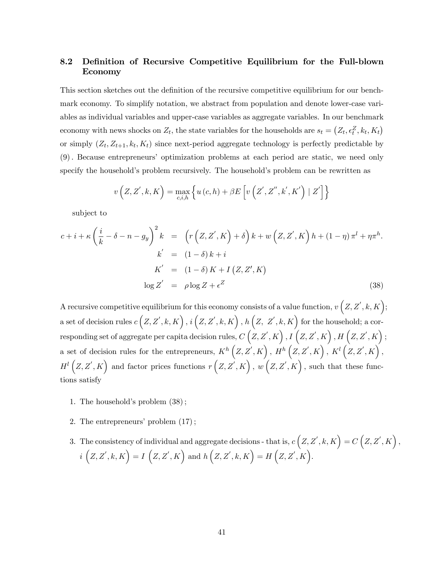## 8.2 Definition of Recursive Competitive Equilibrium for the Full-blown Economy

This section sketches out the definition of the recursive competitive equilibrium for our benchmark economy. To simplify notation, we abstract from population and denote lower-case variables as individual variables and upper-case variables as aggregate variables. In our benchmark economy with news shocks on  $Z_t$ , the state variables for the households are  $s_t = (Z_t, \epsilon_t^Z, k_t, K_t)$ or simply  $(Z_t, Z_{t+1}, k_t, K_t)$  since next-period aggregate technology is perfectly predictable by (9): Because entrepreneursí optimization problems at each period are static, we need only specify the household's problem recursively. The household's problem can be rewritten as

$$
v\left(Z,Z^{\prime},k,K\right)=\max_{c,i,h}\left\{u\left(c,h\right)+\beta E\left[v\left(Z^{\prime},Z^{\prime\prime},k^{\prime},K^{\prime}\right)\mid Z^{\prime}\right]\right\}
$$

subject to

$$
c + i + \kappa \left(\frac{i}{k} - \delta - n - g_y\right)^2 k = \left(r\left(Z, Z', K\right) + \delta\right)k + w\left(Z, Z', K\right)h + (1 - \eta)\pi^l + \eta\pi^h.
$$
  
\n
$$
k' = (1 - \delta)k + i
$$
  
\n
$$
K' = (1 - \delta)K + I\left(Z, Z', K\right)
$$
  
\n
$$
\log Z' = \rho \log Z + \epsilon^Z
$$
\n(38)

A recursive competitive equilibrium for this economy consists of a value function,  $v(Z, Z', k, K);$ a set of decision rules  $c(Z, Z', k, K)$ ,  $i(Z, Z', k, K)$ ,  $h(Z, Z', k, K)$  for the household; a cor- $\mathcal{L}\left(Z,Z^{\prime},K\right),$   $I\left(Z,Z^{\prime},K\right),$   $I\left(Z,Z^{\prime},K\right),$   $H\left(Z,Z^{\prime},K\right),$ a set of decision rules for the entrepreneurs,  $K^h(Z, Z', K)$ ,  $H^h(Z, Z', K)$ ,  $K^l(Z, Z', K)$ ,  $H^{l}(Z, Z', K)$  and factor prices functions  $r(Z, Z', K)$ ,  $w(Z, Z', K)$ , such that these functions satisfy

- 1. The household's problem  $(38)$ ;
- 2. The entrepreneurs' problem  $(17)$ ;
- 3. The consistency of individual and aggregate decisions that is,  $c(Z, Z', k, K) = C(Z, Z', K)$ ,  $i\left(Z,Z^{\prime},k,K\right)=I\left(Z,Z^{\prime},K\right) \text{ and } h\left(Z,Z^{\prime},k,K\right)=H\left(Z,Z^{\prime},K\right).$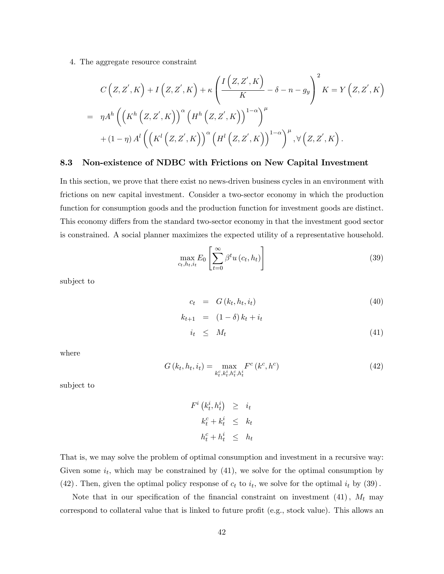4. The aggregate resource constraint

$$
C\left(Z,Z^{'},K\right) + I\left(Z,Z^{'},K\right) + \kappa \left(\frac{I\left(Z,Z^{'},K\right)}{K} - \delta - n - g_y\right)^2 K = Y\left(Z,Z^{'},K\right)
$$
  
= 
$$
\eta A^{h} \left(\left(K^{h}\left(Z,Z^{'},K\right)\right)^{\alpha}\left(H^{h}\left(Z,Z^{'},K\right)\right)^{1-\alpha}\right)^{\mu}
$$
  
+ 
$$
(1-\eta) A^{l} \left(\left(K^{l}\left(Z,Z^{'},K\right)\right)^{\alpha}\left(H^{l}\left(Z,Z^{'},K\right)\right)^{1-\alpha}\right)^{\mu}, \forall \left(Z,Z^{'},K\right).
$$

#### 8.3 Non-existence of NDBC with Frictions on New Capital Investment

In this section, we prove that there exist no news-driven business cycles in an environment with frictions on new capital investment. Consider a two-sector economy in which the production function for consumption goods and the production function for investment goods are distinct. This economy differs from the standard two-sector economy in that the investment good sector is constrained. A social planner maximizes the expected utility of a representative household.

$$
\max_{c_t, h_t, i_t} E_0 \left[ \sum_{t=0}^{\infty} \beta^t u(c_t, h_t) \right]
$$
\n(39)

subject to

$$
c_t = G(k_t, h_t, i_t)
$$
  
\n
$$
k_{t+1} = (1 - \delta) k_t + i_t
$$
\n(40)

$$
i_t \leq M_t \tag{41}
$$

where

$$
G(k_t, h_t, i_t) = \max_{k_t^c, k_t^i, h_t^c, h_t^i} F^c(k^c, h^c)
$$
\n(42)

subject to

$$
F^i \left( k_t^i, h_t^i \right) \geq i_t
$$
  

$$
k_t^c + k_t^i \leq k_t
$$
  

$$
h_t^c + h_t^i \leq h_t
$$

That is, we may solve the problem of optimal consumption and investment in a recursive way: Given some  $i_t$ , which may be constrained by (41), we solve for the optimal consumption by (42). Then, given the optimal policy response of  $c_t$  to  $i_t$ , we solve for the optimal  $i_t$  by (39).

Note that in our specification of the financial constraint on investment  $(41)$ ,  $M_t$  may correspond to collateral value that is linked to future profit (e.g., stock value). This allows an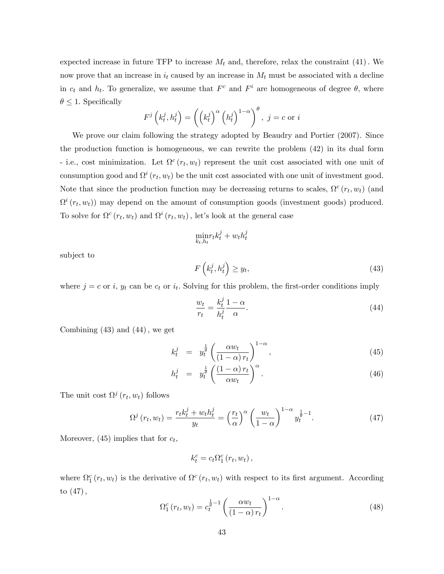expected increase in future TFP to increase  $M_t$  and, therefore, relax the constraint (41). We now prove that an increase in  $i_t$  caused by an increase in  $M_t$  must be associated with a decline in  $c_t$  and  $h_t$ . To generalize, we assume that  $F^c$  and  $F^i$  are homogeneous of degree  $\theta$ , where  $\theta \leq 1$ . Specifically

$$
F^{j}\left(k_{t}^{j},h_{t}^{j}\right) = \left(\left(k_{t}^{j}\right)^{\alpha}\left(h_{t}^{j}\right)^{1-\alpha}\right)^{\theta}, \ j = c \text{ or } i
$$

We prove our claim following the strategy adopted by Beaudry and Portier (2007). Since the production function is homogeneous, we can rewrite the problem (42) in its dual form - i.e., cost minimization. Let  $\Omega^c(r_t, w_t)$  represent the unit cost associated with one unit of consumption good and  $\Omega^i(r_t, w_t)$  be the unit cost associated with one unit of investment good. Note that since the production function may be decreasing returns to scales,  $\Omega^c(r_t, w_t)$  (and  $\Omega^{i}(r_t, w_t)$  may depend on the amount of consumption goods (investment goods) produced. To solve for  $\Omega^c(r_t, w_t)$  and  $\Omega^i(r_t, w_t)$ , let's look at the general case

$$
\min_{k_t, h_t} r_t k_t^j + w_t h_t^j
$$

subject to

$$
F\left(k_t^j, h_t^j\right) \ge y_t,\tag{43}
$$

where  $j = c$  or i,  $y_t$  can be  $c_t$  or  $i_t$ . Solving for this problem, the first-order conditions imply

$$
\frac{w_t}{r_t} = \frac{k_t^j}{h_t^j} \frac{1 - \alpha}{\alpha}.\tag{44}
$$

Combining  $(43)$  and  $(44)$ , we get

$$
k_t^j = y_t^{\frac{1}{\theta}} \left( \frac{\alpha w_t}{(1-\alpha) r_t} \right)^{1-\alpha}, \tag{45}
$$

$$
h_t^j = y_t^{\frac{1}{\theta}} \left( \frac{(1-\alpha) r_t}{\alpha w_t} \right)^{\alpha}.
$$
\n(46)

The unit cost  $\Omega^j(r_t, w_t)$  follows

$$
\Omega^j(r_t, w_t) = \frac{r_t k_t^j + w_t h_t^j}{y_t} = \left(\frac{r_t}{\alpha}\right)^{\alpha} \left(\frac{w_t}{1-\alpha}\right)^{1-\alpha} y_t^{\frac{1}{\theta}-1}.
$$
\n(47)

Moreover,  $(45)$  implies that for  $c_t$ ,

$$
k_{t}^{c}=c_{t}\Omega_{1}^{c}\left(r_{t},w_{t}\right),
$$

where  $\Omega_1^c(r_t, w_t)$  is the derivative of  $\Omega^c(r_t, w_t)$  with respect to its first argument. According to  $(47)$ ,

$$
\Omega_1^c(r_t, w_t) = c_t^{\frac{1}{\theta} - 1} \left( \frac{\alpha w_t}{(1 - \alpha) r_t} \right)^{1 - \alpha}.
$$
\n(48)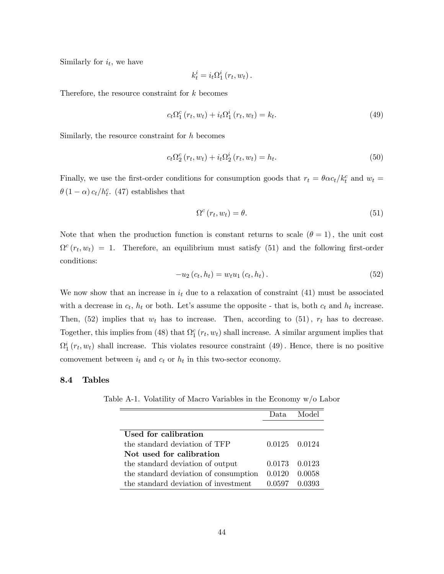Similarly for  $i_t$ , we have

$$
k_t^i = i_t \Omega_1^i (r_t, w_t).
$$

Therefore, the resource constraint for k becomes

$$
c_t \Omega_1^c (r_t, w_t) + i_t \Omega_1^i (r_t, w_t) = k_t.
$$
\n(49)

Similarly, the resource constraint for h becomes

$$
c_t \Omega_2^c \left( r_t, w_t \right) + i_t \Omega_2^i \left( r_t, w_t \right) = h_t. \tag{50}
$$

Finally, we use the first-order conditions for consumption goods that  $r_t = \theta \alpha c_t / k_t^c$  and  $w_t =$  $\theta(1-\alpha) c_t/h_t^c$ . (47) establishes that

$$
\Omega^{c}(r_{t}, w_{t}) = \theta. \tag{51}
$$

Note that when the production function is constant returns to scale  $(\theta = 1)$ , the unit cost  $\Omega^c(r_t, w_t) = 1$ . Therefore, an equilibrium must satisfy (51) and the following first-order conditions:

$$
-u_2(c_t, h_t) = w_t u_1(c_t, h_t).
$$
\n(52)

We now show that an increase in  $i_t$  due to a relaxation of constraint (41) must be associated with a decrease in  $c_t$ ,  $h_t$  or both. Let's assume the opposite - that is, both  $c_t$  and  $h_t$  increase. Then, (52) implies that  $w_t$  has to increase. Then, according to (51),  $r_t$  has to decrease. Together, this implies from (48) that  $\Omega_1^c(r_t, w_t)$  shall increase. A similar argument implies that  $\Omega_1^i(r_t, w_t)$  shall increase. This violates resource constraint (49). Hence, there is no positive comovement between  $i_t$  and  $c_t$  or  $h_t$  in this two-sector economy.

#### 8.4 Tables

Table A-1. Volatility of Macro Variables in the Economy w/o Labor

|                                       | Data.  | Model         |
|---------------------------------------|--------|---------------|
|                                       |        |               |
| Used for calibration                  |        |               |
| the standard deviation of TFP         |        | 0.0125 0.0124 |
| Not used for calibration              |        |               |
| the standard deviation of output      | 0.0173 | 0.0123        |
| the standard deviation of consumption | 0.0120 | 0.0058        |
| the standard deviation of investment  | 0.0597 |               |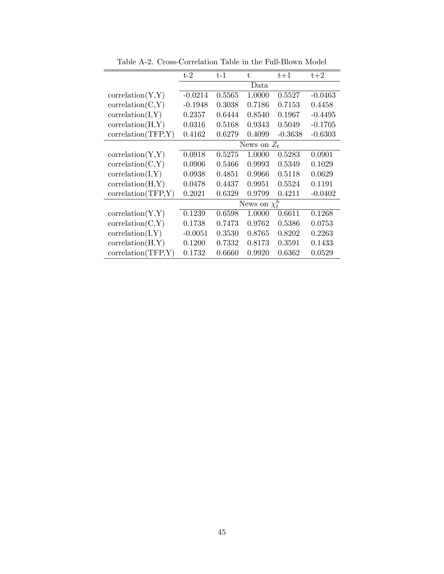|                    | $t-2$              | $t-1$  | t.     | $t+1$     | $t+2$     |  |  |
|--------------------|--------------------|--------|--------|-----------|-----------|--|--|
|                    | Data               |        |        |           |           |  |  |
| correlation(Y,Y)   | $-0.0214$          | 0.5565 | 1.0000 | 0.5527    | $-0.0463$ |  |  |
| correlation(C,Y)   | $-0.1948$          | 0.3038 | 0.7186 | 0.7153    | 0.4458    |  |  |
| correlation(I, Y)  | 0.2357             | 0.6444 | 0.8540 | 0.1967    | $-0.4495$ |  |  |
| correlation(H,Y)   | 0.0316             | 0.5168 | 0.9343 | 0.5049    | $-0.1705$ |  |  |
| correlation(TFP,Y) | 0.4162             | 0.6279 | 0.4099 | $-0.3638$ | $-0.6303$ |  |  |
|                    | News on $Z_t$      |        |        |           |           |  |  |
| correlation(Y, Y)  | 0.0918             | 0.5275 | 1.0000 | 0.5283    | 0.0901    |  |  |
| correlation(C,Y)   | 0.0906             | 0.5466 | 0.9993 | 0.5349    | 0.1029    |  |  |
| correlation(I, Y)  | 0.0938             | 0.4851 | 0.9966 | 0.5118    | 0.0629    |  |  |
| correlation(H,Y)   | 0.0478             | 0.4437 | 0.9951 | 0.5524    | 0.1191    |  |  |
| correlation(TFP,Y) | 0.2021             | 0.6329 | 0.9799 | 0.4211    | $-0.0402$ |  |  |
|                    | News on $\chi_t^h$ |        |        |           |           |  |  |
| correlation(Y,Y)   | 0.1239             | 0.6598 | 1.0000 | 0.6611    | 0.1268    |  |  |
| correlation(C,Y)   | 0.1738             | 0.7473 | 0.9762 | 0.5386    | 0.0753    |  |  |
| correlation(I, Y)  | $-0.0051$          | 0.3530 | 0.8765 | 0.8202    | 0.2263    |  |  |
| correlation(H,Y)   | 0.1200             | 0.7332 | 0.8173 | 0.3591    | 0.1433    |  |  |
| correlation(TFP,Y) | 0.1732             | 0.6660 | 0.9920 | 0.6362    | 0.0529    |  |  |

Table A-2. Cross-Correlation Table in the Full-Blown Model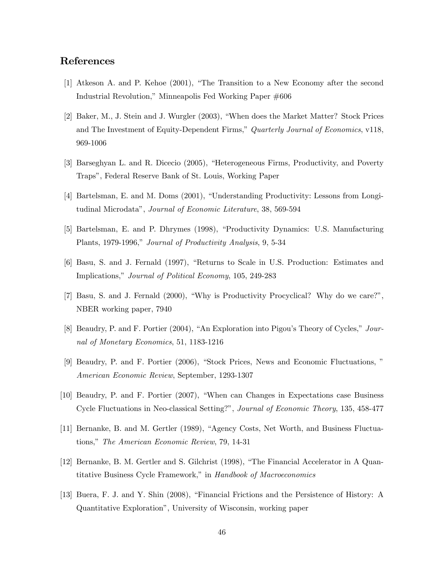## References

- [1] Atkeson A. and P. Kehoe (2001), "The Transition to a New Economy after the second Industrial Revolution,î Minneapolis Fed Working Paper #606
- [2] Baker, M., J. Stein and J. Wurgler (2003), "When does the Market Matter? Stock Prices and The Investment of Equity-Dependent Firms," Quarterly Journal of Economics, v118, 969-1006
- [3] Barseghyan L. and R. Dicecio (2005), "Heterogeneous Firms, Productivity, and Poverty Trapsî, Federal Reserve Bank of St. Louis, Working Paper
- [4] Bartelsman, E. and M. Doms (2001), "Understanding Productivity: Lessons from Longitudinal Microdata", Journal of Economic Literature, 38, 569-594
- [5] Bartelsman, E. and P. Dhrymes (1998), "Productivity Dynamics: U.S. Manufacturing Plants, 1979-1996," Journal of Productivity Analysis, 9, 5-34
- [6] Basu, S. and J. Fernald (1997), "Returns to Scale in U.S. Production: Estimates and Implications," Journal of Political Economy, 105, 249-283
- [7] Basu, S. and J. Fernald (2000), "Why is Productivity Procyclical? Why do we care?", NBER working paper, 7940
- [8] Beaudry, P. and F. Portier  $(2004)$ , "An Exploration into Pigou's Theory of Cycles," Journal of Monetary Economics, 51, 1183-1216
- [9] Beaudry, P. and F. Portier (2006), "Stock Prices, News and Economic Fluctuations, " American Economic Review, September, 1293-1307
- [10] Beaudry, P. and F. Portier (2007), "When can Changes in Expectations case Business Cycle Fluctuations in Neo-classical Setting?î, Journal of Economic Theory, 135, 458-477
- [11] Bernanke, B. and M. Gertler (1989), "Agency Costs, Net Worth, and Business Fluctuations," The American Economic Review, 79, 14-31
- [12] Bernanke, B. M. Gertler and S. Gilchrist (1998), "The Financial Accelerator in A Quantitative Business Cycle Framework," in Handbook of Macroeconomics
- [13] Buera, F. J. and Y. Shin (2008), "Financial Frictions and the Persistence of History: A Quantitative Explorationî, University of Wisconsin, working paper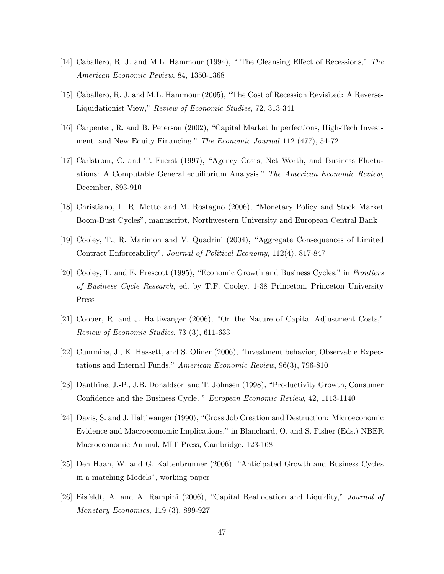- [14] Caballero, R. J. and M.L. Hammour (1994), "The Cleansing Effect of Recessions," The American Economic Review, 84, 1350-1368
- [15] Caballero, R. J. and M.L. Hammour (2005), "The Cost of Recession Revisited: A Reverse-Liquidationist View," Review of Economic Studies, 72, 313-341
- [16] Carpenter, R. and B. Peterson (2002), "Capital Market Imperfections, High-Tech Investment, and New Equity Financing," The Economic Journal 112 (477), 54-72
- [17] Carlstrom, C. and T. Fuerst (1997), "Agency Costs, Net Worth, and Business Fluctuations: A Computable General equilibrium Analysis," The American Economic Review, December, 893-910
- [18] Christiano, L. R. Motto and M. Rostagno (2006), "Monetary Policy and Stock Market Boom-Bust Cyclesî, manuscript, Northwestern University and European Central Bank
- [19] Cooley, T., R. Marimon and V. Quadrini (2004), "Aggregate Consequences of Limited Contract Enforceability", Journal of Political Economy, 112(4), 817-847
- [20] Cooley, T. and E. Prescott (1995), "Economic Growth and Business Cycles," in Frontiers of Business Cycle Research, ed. by T.F. Cooley, 1-38 Princeton, Princeton University Press
- $[21]$  Cooper, R. and J. Haltiwanger  $(2006)$ , "On the Nature of Capital Adjustment Costs," Review of Economic Studies, 73 (3), 611-633
- [22] Cummins, J., K. Hassett, and S. Oliner (2006), "Investment behavior, Observable Expectations and Internal Funds," American Economic Review,  $96(3)$ , 796-810
- [23] Danthine, J.-P., J.B. Donaldson and T. Johnsen (1998), "Productivity Growth, Consumer Confidence and the Business Cycle, " European Economic Review, 42, 1113-1140
- [24] Davis, S. and J. Haltiwanger (1990), "Gross Job Creation and Destruction: Microeconomic Evidence and Macroeconomic Implications," in Blanchard, O. and S. Fisher (Eds.) NBER Macroeconomic Annual, MIT Press, Cambridge, 123-168
- [25] Den Haan, W. and G. Kaltenbrunner (2006), "Anticipated Growth and Business Cycles in a matching Models", working paper
- [26] Eisfeldt, A. and A. Rampini  $(2006)$ , "Capital Reallocation and Liquidity," *Journal of* Monetary Economics, 119 (3), 899-927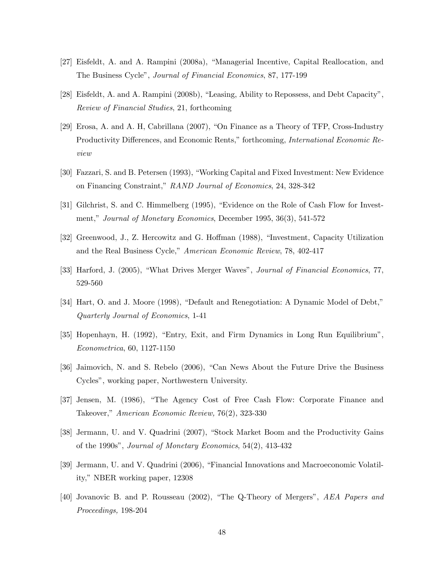- [27] Eisfeldt, A. and A. Rampini (2008a), "Managerial Incentive, Capital Reallocation, and The Business Cycleî, Journal of Financial Economics, 87, 177-199
- [28] Eisfeldt, A. and A. Rampini  $(2008b)$ , "Leasing, Ability to Repossess, and Debt Capacity", Review of Financial Studies, 21, forthcoming
- $[29]$  Erosa, A. and A. H, Cabrillana  $(2007)$ , "On Finance as a Theory of TFP, Cross-Industry Productivity Differences, and Economic Rents," forthcoming, *International Economic Re*view
- [30] Fazzari, S. and B. Petersen (1993), "Working Capital and Fixed Investment: New Evidence on Financing Constraint,î RAND Journal of Economics, 24, 328-342
- [31] Gilchrist, S. and C. Himmelberg (1995), "Evidence on the Role of Cash Flow for Investment," Journal of Monetary Economics, December 1995, 36(3), 541-572
- [32] Greenwood, J., Z. Hercowitz and G. Hoffman (1988), "Investment, Capacity Utilization and the Real Business Cycle," American Economic Review, 78, 402-417
- [33] Harford, J. (2005), "What Drives Merger Waves", *Journal of Financial Economics*, 77, 529-560
- [34] Hart, O. and J. Moore (1998), "Default and Renegotiation: A Dynamic Model of Debt," Quarterly Journal of Economics, 1-41
- [35] Hopenhayn, H. (1992), "Entry, Exit, and Firm Dynamics in Long Run Equilibrium", Econometrica, 60, 1127-1150
- [36] Jaimovich, N. and S. Rebelo (2006), "Can News About the Future Drive the Business Cyclesî, working paper, Northwestern University.
- [37] Jensen, M. (1986), "The Agency Cost of Free Cash Flow: Corporate Finance and Takeover," American Economic Review, 76(2), 323-330
- [38] Jermann, U. and V. Quadrini (2007), "Stock Market Boom and the Productivity Gains of the 1990s", Journal of Monetary Economics,  $54(2)$ ,  $413-432$
- [39] Jermann, U. and V. Quadrini (2006), "Financial Innovations and Macroeconomic Volatility," NBER working paper, 12308
- [40] Jovanovic B. and P. Rousseau  $(2002)$ , "The Q-Theory of Mergers", AEA Papers and Proceedings, 198-204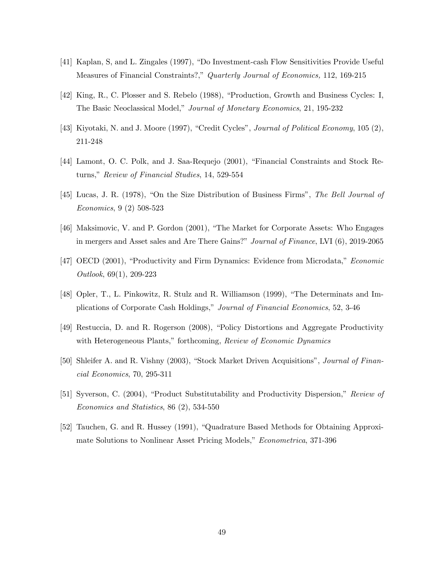- [41] Kaplan, S, and L. Zingales (1997), "Do Investment-cash Flow Sensitivities Provide Useful Measures of Financial Constraints?," Quarterly Journal of Economics, 112, 169-215
- [42] King, R., C. Plosser and S. Rebelo (1988), "Production, Growth and Business Cycles: I, The Basic Neoclassical Model,î Journal of Monetary Economics, 21, 195-232
- [43] Kiyotaki, N. and J. Moore (1997), "Credit Cycles", Journal of Political Economy, 105 (2), 211-248
- [44] Lamont, O. C. Polk, and J. Saa-Requejo (2001), "Financial Constraints and Stock Returns," Review of Financial Studies, 14, 529-554
- [45] Lucas, J. R. (1978), "On the Size Distribution of Business Firms", The Bell Journal of Economics, 9 (2) 508-523
- [46] Maksimovic, V. and P. Gordon (2001), "The Market for Corporate Assets: Who Engages in mergers and Asset sales and Are There Gains?" Journal of Finance, LVI (6), 2019-2065
- [47] OECD (2001), "Productivity and Firm Dynamics: Evidence from Microdata," *Economic* Outlook, 69(1), 209-223
- [48] Opler, T., L. Pinkowitz, R. Stulz and R. Williamson (1999), "The Determinats and Implications of Corporate Cash Holdings,î Journal of Financial Economics, 52, 3-46
- [49] Restuccia, D. and R. Rogerson (2008), "Policy Distortions and Aggregate Productivity with Heterogeneous Plants," forthcoming, Review of Economic Dynamics
- [50] Shleifer A. and R. Vishny (2003), "Stock Market Driven Acquisitions", *Journal of Finan*cial Economics, 70, 295-311
- [51] Syverson, C. (2004), "Product Substitutability and Productivity Dispersion," Review of Economics and Statistics, 86 (2), 534-550
- [52] Tauchen, G. and R. Hussey (1991), "Quadrature Based Methods for Obtaining Approximate Solutions to Nonlinear Asset Pricing Models," *Econometrica*, 371-396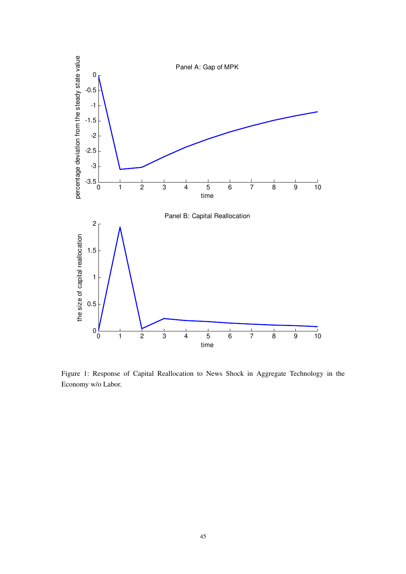

Figure 1: Response of Capital Reallocation to News Shock in Aggregate Technology in the Economy w/o Labor.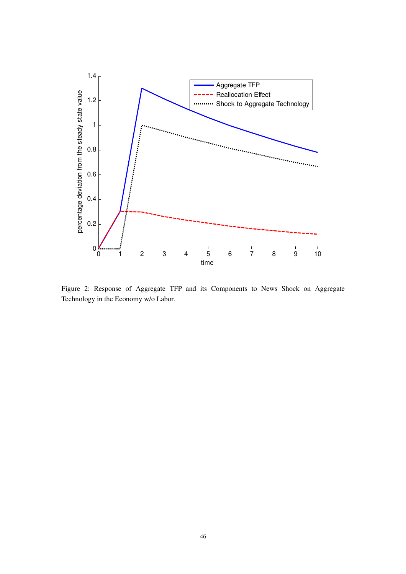

Figure 2: Response of Aggregate TFP and its Components to News Shock on Aggregate Technology in the Economy w/o Labor.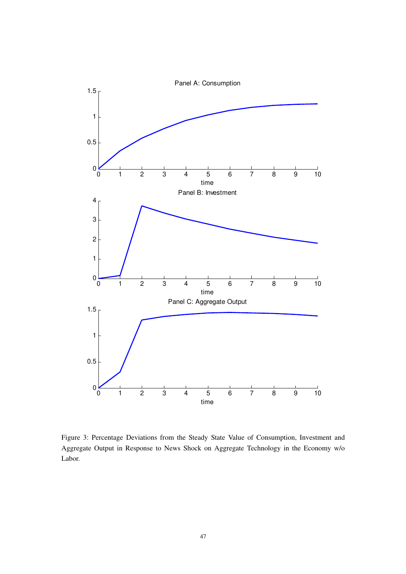

Figure 3: Percentage Deviations from the Steady State Value of Consumption, Investment and Aggregate Output in Response to News Shock on Aggregate Technology in the Economy w/o Labor.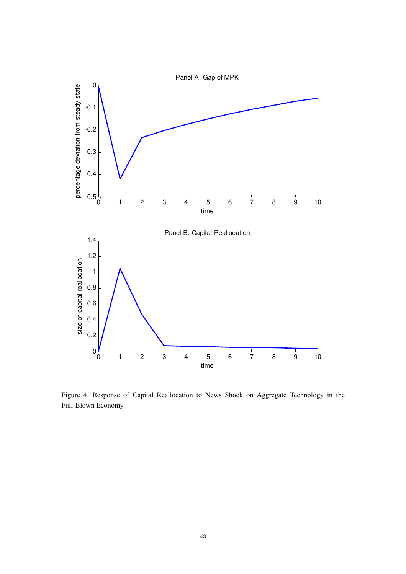

Figure 4: Response of Capital Reallocation to News Shock on Aggregate Technology in the Full-Blown Economy.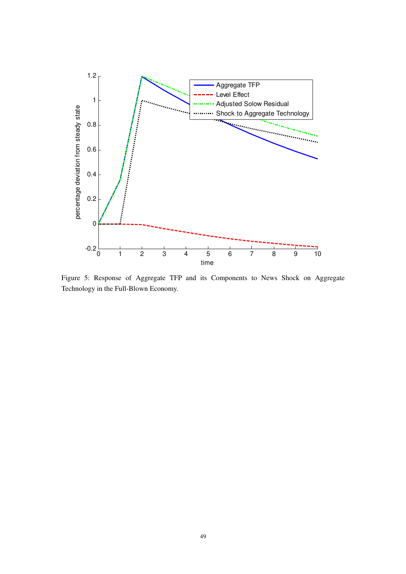

Figure 5: Response of Aggregate TFP and its Components to News Shock on Aggregate Technology in the Full-Blown Economy.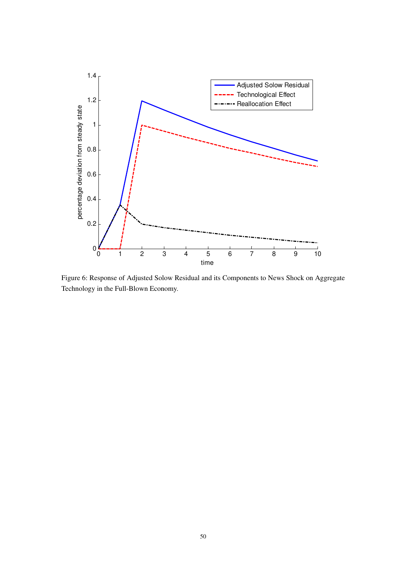

Figure 6: Response of Adjusted Solow Residual and its Components to News Shock on Aggregate Technology in the Full-Blown Economy.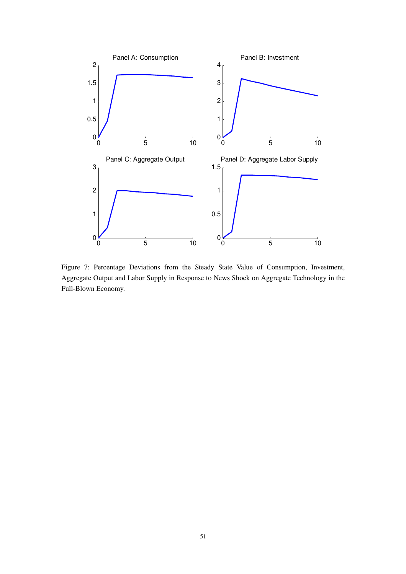

Figure 7: Percentage Deviations from the Steady State Value of Consumption, Investment, Aggregate Output and Labor Supply in Response to News Shock on Aggregate Technology in the Full-Blown Economy.